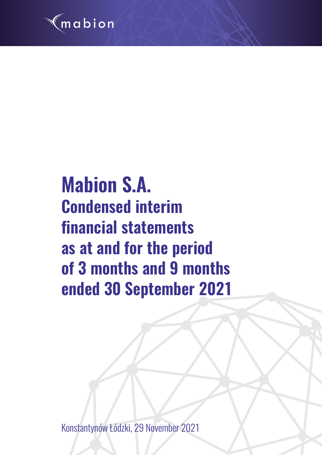

# **Mabion S.A. Condensed interim financial statements as at and for the period of 3 months and 9 months ended 30 September 2021**

Konstantynów Łódzki, 29 November 2021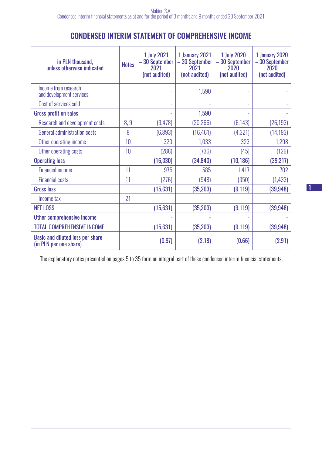## CONDENSED INTERIM STATEMENT OF COMPREHENSIVE INCOME

| in PLN thousand,<br>unless otherwise indicated                    | <b>Notes</b>    | <b>1 July 2021</b><br>- 30 September<br>2021<br>(not audited) | 1 January 2021<br>-30 September<br>2021<br>(not audited) | <b>1 July 2020</b><br>-30 September<br>2020<br>(not audited) | 1 January 2020<br>- 30 September<br>2020<br>(not audited) |
|-------------------------------------------------------------------|-----------------|---------------------------------------------------------------|----------------------------------------------------------|--------------------------------------------------------------|-----------------------------------------------------------|
| Income from research<br>and development services                  |                 |                                                               | 1,590                                                    |                                                              |                                                           |
| Cost of services sold                                             |                 | $\overline{a}$                                                |                                                          | ÷,                                                           |                                                           |
| <b>Gross profit on sales</b>                                      |                 |                                                               | 1,590                                                    |                                                              |                                                           |
| <b>Research and development costs</b>                             | 8,9             | (9, 478)                                                      | (20, 266)                                                | (6, 143)                                                     | (26, 193)                                                 |
| General administration costs                                      | 8               | (6,893)                                                       | (16, 461)                                                | (4, 321)                                                     | (14, 193)                                                 |
| Other operating income                                            | 10              | 329                                                           | 1,033                                                    | 323                                                          | 1,298                                                     |
| Other operating costs                                             | 10 <sup>1</sup> | (288)                                                         | (736)                                                    | (45)                                                         | (129)                                                     |
| <b>Operating loss</b>                                             |                 | (16, 330)                                                     | (34, 840)                                                | (10, 186)                                                    | (39, 217)                                                 |
| <b>Financial income</b>                                           | 11              | 975                                                           | 585                                                      | 1,417                                                        | 702                                                       |
| <b>Financial costs</b>                                            | 11              | (276)                                                         | (948)                                                    | (350)                                                        | (1, 433)                                                  |
| <b>Gross loss</b>                                                 |                 | (15, 631)                                                     | (35, 203)                                                | (9, 119)                                                     | (39, 948)                                                 |
| Income tax                                                        | 21              |                                                               |                                                          |                                                              |                                                           |
| <b>NET LOSS</b>                                                   |                 | (15, 631)                                                     | (35, 203)                                                | (9, 119)                                                     | (39, 948)                                                 |
| Other comprehensive income                                        |                 |                                                               |                                                          |                                                              |                                                           |
| <b>TOTAL COMPREHENSIVE INCOME</b>                                 |                 | (15, 631)                                                     | (35, 203)                                                | (9, 119)                                                     | (39, 948)                                                 |
| <b>Basic and diluted loss per share</b><br>(in PLN per one share) |                 | (0.97)                                                        | (2.18)                                                   | (0.66)                                                       | (2.91)                                                    |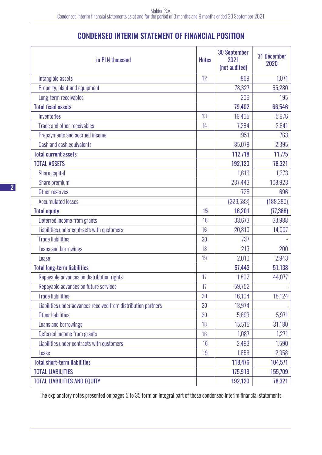## in PLN thousand Notes 30 September 2021 (not audited) 31 December 2020 Intangible assets 12 869 1,071 Property, plant and equipment 65,280 Long-term receivables 206 195 Total fixed assets 66,546 Inventories 13 19,405 5,976 Trade and other receivables 14 14 7,284 2,641 Prepayments and accrued income 1 1 1 1 1 1 1 1 1 1 1 1 1 1 1 1 7 6 3 Cash and cash equivalents **85,078** 2,395 Total current assets 11,775 TOTAL ASSETS 192,120 78,321 Share capital 1,373 Share premium 237,443 108,923 Other reserves 696 Accumulated losses (223,583) (188,380) Total equity 15 16,201 (77,388) Deferred income from grants 16 33,988 33,988  $\frac{1}{20.810}$  |  $\frac{1}{20.810}$  |  $\frac{1}{20.810}$  |  $\frac{1}{20.810}$  |  $\frac{1}{20.810}$  |  $\frac{1}{20.810}$  |  $\frac{1}{20.810}$  |  $\frac{1}{20.810}$  |  $\frac{1}{20.810}$  |  $\frac{1}{20.810}$  |  $\frac{1}{20.810}$  |  $\frac{1}{20.810}$  |  $\frac{1}{20.810}$  | Trade liabilities 20 737 Loans and borrowings 18 200 Lease 19 2,943 2,943 2,943 2,943 2,943 2,943 2,943 2,943 2,943 2,943 2,943 2,943 Total long-term liabilities 51,138 Repayable advances on distribution rights 17 17 17 1,802 44,077 Repayable advances on future services 17 17 59,752 Trade liabilities 20 16,104 18,124 Liabilities under advances received from distribution partners 20 1 20 13,974 Other liabilities 20 5,971 5,971 5,971 5,971 5,971 5,971 5,971 5,971 5,971 Loans and borrowings 18 18 18 18 15,515 31,180 Deferred income from grants 16 1,087 1,271 Liabilities under contracts with customers 16 16 16 2,493 1,590 Lease 19 19 19 1,856 2,358 2,358 2,358 2,458 2,558 2,558 2,558 2,558 2,558 2,558 2,558 2,558 2,558 2,558 2,558 Total short-term liabilities 104,571 TOTAL LIABILITIES 175,919 155,709 TOTAL LIABILITIES AND EQUITY **192,120** 78,321

# CONDENSED INTERIM STATEMENT OF FINANCIAL POSITION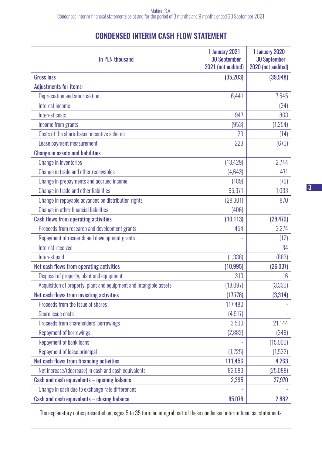| <b>CONDENSED INTERIM CASH FLOW STATEMENT</b> |  |  |  |  |
|----------------------------------------------|--|--|--|--|
|----------------------------------------------|--|--|--|--|

| in PLN thousand                                                    | 1 January 2021<br>-30 September<br>2021 (not audited) | <b>1 January 2020</b><br>-30 September<br>2020 (not audited) |
|--------------------------------------------------------------------|-------------------------------------------------------|--------------------------------------------------------------|
| <b>Gross loss</b>                                                  | (35, 203)                                             | (39, 948)                                                    |
| <b>Adjustments for items:</b>                                      |                                                       |                                                              |
| Depreciation and amortisation                                      | 6,441                                                 | 7,545                                                        |
| Interest income                                                    |                                                       | (34)                                                         |
| Interest costs                                                     | 947                                                   | 863                                                          |
| Income from grants                                                 | (953)                                                 | (1,254)                                                      |
| Costs of the share-based incentive scheme                          | 29                                                    | (14)                                                         |
| Lease payment measurement                                          | 223                                                   | (670)                                                        |
| <b>Change in assets and liabilities</b>                            |                                                       |                                                              |
| <b>Change in inventories</b>                                       | (13, 429)                                             | 2,744                                                        |
| Change in trade and other receivables                              | (4,643)                                               | 471                                                          |
| Change in prepayments and accrued income                           | (189)                                                 | (76)                                                         |
| Change in trade and other liabilities                              | 65,371                                                | 1,033                                                        |
| Change in repayable advances on distribution rights                | (28, 301)                                             | 870                                                          |
| Change in other financial liabilities                              | (406)                                                 |                                                              |
| <b>Cash flows from operating activities</b>                        | (10, 113)                                             | (28, 470)                                                    |
| Proceeds from research and development grants                      | 454                                                   | 3,274                                                        |
| Repayment of research and development grants                       |                                                       | (12)                                                         |
| Interest received                                                  |                                                       | 34                                                           |
| Interest paid                                                      | (1, 336)                                              | (863)                                                        |
| Net cash flows from operating activities                           | (10, 995)                                             | (26, 037)                                                    |
| Disposal of property, plant and equipment                          | 319                                                   | 16 <sup>°</sup>                                              |
| Acquisition of property, plant and equipment and intangible assets | (18,097)                                              | (3,330)                                                      |
| Net cash flows from investing activities                           | (17, 778)                                             | (3, 314)                                                     |
| Proceeds from the issue of shares                                  | 117,480                                               |                                                              |
| <b>Share issue costs</b>                                           | (4, 917)                                              |                                                              |
| Proceeds from shareholders' borrowings                             | 3,500                                                 | 21,144                                                       |
| <b>Repayment of borrowings</b>                                     | (2,882)                                               | (349)                                                        |
| <b>Repayment of bank loans</b>                                     |                                                       | (15,000)                                                     |
| Repayment of lease principal                                       | (1, 725)                                              | (1,532)                                                      |
| Net cash flows from financing activities                           | 111,456                                               | 4,263                                                        |
| Net increase/(decrease) in cash and cash equivalents               | 82,683                                                | (25,088)                                                     |
| Cash and cash equivalents - opening balance                        | 2,395                                                 | 27,970                                                       |
| Change in cash due to exchange rate differences                    |                                                       |                                                              |
| Cash and cash equivalents - closing balance                        | 85,078                                                | 2,882                                                        |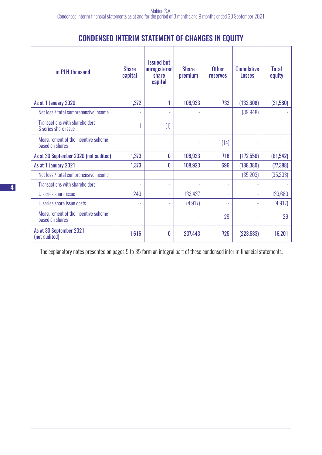# CONDENSED INTERIM STATEMENT OF CHANGES IN EQUITY

| in PLN thousand                                                | <b>Share</b><br>capital | <b>Issued but</b><br>unregistered<br>share<br>capital | <b>Share</b><br>premium | <b>Other</b><br>reserves | <b>Cumulative</b><br><b>Losses</b> | <b>Total</b><br>equity |
|----------------------------------------------------------------|-------------------------|-------------------------------------------------------|-------------------------|--------------------------|------------------------------------|------------------------|
| As at 1 January 2020                                           | 1,372                   |                                                       | 108,923                 | 732                      | (132,608)                          | (21,580)               |
| Net loss / total comprehensive income                          |                         |                                                       |                         |                          | (39, 948)                          |                        |
| <b>Transactions with shareholders:</b><br>S series share issue |                         | (1)                                                   |                         |                          |                                    |                        |
| Measurement of the incentive scheme<br>based on shares         | L,                      | ÷,                                                    |                         | (14)                     |                                    |                        |
| As at 30 September 2020 (not audited)                          | 1,373                   | 0                                                     | 108,923                 | 718                      | (172, 556)                         | (61, 542)              |
| As at 1 January 2021                                           | 1,373                   | 0                                                     | 108,923                 | 696                      | (188, 380)                         | (77, 388)              |
| Net loss / total comprehensive income                          | ÷.                      |                                                       |                         | ÷,                       | (35,203)                           | (35,203)               |
| Transactions with shareholders:                                | L,                      | $\overline{\phantom{a}}$                              | ÷.                      | ÷,                       |                                    |                        |
| U series share issue                                           | 243                     |                                                       | 133,437                 | ÷,                       |                                    | 133,680                |
| U series share issue costs                                     |                         |                                                       | (4, 917)                | L,                       |                                    | (4, 917)               |
| Measurement of the incentive scheme<br>based on shares         | ÷                       |                                                       |                         | 29                       |                                    | 29                     |
| As at 30 September 2021<br>(not audited)                       | 1,616                   | 0                                                     | 237,443                 | 725                      | (223, 583)                         | 16,201                 |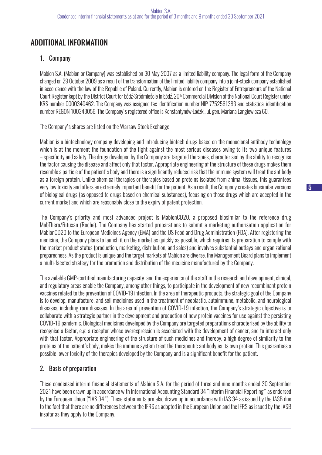# ADDITIONAL INFORMATION

## 1. Company

Mabion S.A. (Mabion or Company) was established on 30 May 2007 as a limited liability company. The legal form of the Company changed on 29 October 2009 as a result of the transformation of the limited liability company into a joint-stock company established in accordance with the law of the Republic of Poland. Currently, Mabion is entered on the Register of Entrepreneurs of the National Court Register kept by the District Court for Łódź-Śródmieście in Łódź, 20<sup>th</sup> Commercial Division of the National Court Register under KRS number 0000340462. The Company was assigned tax identification number NIP 7752561383 and statistical identification number REGON 100343056. The Company's registered office is Konstantynów Łódzki, ul. gen. Mariana Langiewicza 60.

The Company's shares are listed on the Warsaw Stock Exchange.

Mabion is a biotechnology company developing and introducing biotech drugs based on the monoclonal antibody technology which is at the moment the foundation of the fight against the most serious diseases owing to its two unique features – specificity and safety. The drugs developed by the Company are targeted therapies, characterised by the ability to recognise the factor causing the disease and affect only that factor. Appropriate engineering of the structure of these drugs makes them resemble a particle of the patient's body and there is a significantly reduced risk that the immune system will treat the antibody as a foreign protein. Unlike chemical therapies or therapies based on proteins isolated from animal tissues, this guarantees very low toxicity and offers an extremely important benefit for the patient. As a result, the Company creates biosimilar versions of biological drugs (as opposed to drugs based on chemical substances), focusing on those drugs which are accepted in the current market and which are reasonably close to the expiry of patent protection.

The Company's priority and most advanced project is MabionCD20, a proposed biosimilar to the reference drug MabThera/Rituxan (Roche). The Company has started preparations to submit a marketing authorisation application for MabionCD20 to the European Medicines Agency (EMA) and the US Food and Drug Administration (FDA). After registering the medicine, the Company plans to launch it on the market as quickly as possible, which requires its preparation to comply with the market product status (production, marketing, distribution, and sales) and involves substantial outlays and organizational preparedness. As the product is unique and the target markets of Mabion are diverse, the Management Board plans to implement a multi-faceted strategy for the promotion and distribution of the medicine manufactured by the Company.

The available GMP-certified manufacturing capacity and the experience of the staff in the research and development, clinical, and regulatory areas enable the Company, among other things, to participate in the development of new recombinant protein vaccines related to the prevention of COVID-19 infection. In the area of therapeutic products, the strategic goal of the Company is to develop, manufacture, and sell medicines used in the treatment of neoplastic, autoimmune, metabolic, and neurological diseases, including rare diseases. In the area of prevention of COVID-19 infection, the Company's strategic objective is to collaborate with a strategic partner in the development and production of new protein vaccines for use against the persisting COVID-19 pandemic. Biological medicines developed by the Company are targeted preparations characterised by the ability to recognise a factor, e.g. a receptor whose overexpression is associated with the development of cancer, and to interact only with that factor. Appropriate engineering of the structure of such medicines and thereby, a high degree of similarity to the proteins of the patient's body, makes the immune system treat the therapeutic antibody as its own protein. This guarantees a possible lower toxicity of the therapies developed by the Company and is a significant benefit for the patient.

## 2. Basis of preparation

These condensed interim financial statements of Mabion S.A. for the period of three and nine months ended 30 September 2021 have been drawn up in accordance with International Accounting Standard 34 "Interim Financial Reporting" as endorsed by the European Union ("IAS 34"). These statements are also drawn up in accordance with IAS 34 as issued by the IASB due to the fact that there are no differences between the IFRS as adopted in the European Union and the IFRS as issued by the IASB insofar as they apply to the Company.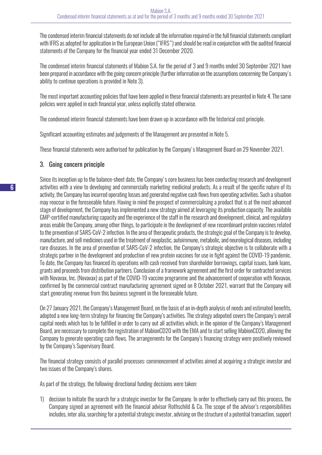The condensed interim financial statements do not include all the information required in the full financial statements compliant with IFRS as adopted for application in the European Union ("IFRS") and should be read in conjunction with the audited financial statements of the Company for the financial year ended 31 December 2020.

The condensed interim financial statements of Mabion S.A. for the period of 3 and 9 months ended 30 September 2021 have been prepared in accordance with the going concern principle (further information on the assumptions concerning the Company's ability to continue operations is provided in Note 3).

The most important accounting policies that have been applied in these financial statements are presented in Note 4. The same policies were applied in each financial year, unless explicitly stated otherwise.

The condensed interim financial statements have been drawn up in accordance with the historical cost principle.

Significant accounting estimates and judgements of the Management are presented in Note 5.

These financial statements were authorised for publication by the Company's Management Board on 29 November 2021.

#### 3. Going concern principle

Since its inception up to the balance-sheet date, the Company's core business has been conducting research and development activities with a view to developing and commercially marketing medicinal products. As a result of the specific nature of its activity, the Company has incurred operating losses and generated negative cash flows from operating activities. Such a situation may reoccur in the foreseeable future. Having in mind the prospect of commercialising a product that is at the most advanced stage of development, the Company has implemented a new strategy aimed at leveraging its production capacity. The available GMP-certified manufacturing capacity and the experience of the staff in the research and development, clinical, and regulatory areas enable the Company, among other things, to participate in the development of new recombinant protein vaccines related to the prevention of SARS-CoV-2 infection. In the area of therapeutic products, the strategic goal of the Company is to develop, manufacture, and sell medicines used in the treatment of neoplastic, autoimmune, metabolic, and neurological diseases, including rare diseases. In the area of prevention of SARS-CoV-2 infection, the Company's strategic objective is to collaborate with a strategic partner in the development and production of new protein vaccines for use in fight against the COVID-19 pandemic. To date, the Company has financed its operations with cash received from shareholder borrowings, capital issues, bank loans, grants and proceeds from distribution partners. Conclusion of a framework agreement and the first order for contracted services with Novavax, Inc. (Novavax) as part of the COVID-19 vaccine programme and the advancement of cooperation with Novavax, confirmed by the commercial contract manufacturing agreement signed on 8 October 2021, warrant that the Company will start generating revenue from this business segment in the foreseeable future.

On 27 January 2021, the Company's Management Board, on the basis of an in-depth analysis of needs and estimated benefits, adopted a new long-term strategy for financing the Company's activities. The strategy adopoted covers the Company's overall capital needs which has to be fulfilled in order to carry out all activities which, in the opinion of the Company's Management Board, are necessary to complete the registration of MabionCD20 with the EMA and to start selling MabionCD20, allowing the Company to generate operating cash flows. The arrangements for the Company's financing strategy were positively reviewed by the Company's Supervisory Board.

The financial strategy consists of parallel processes: commencement of activities aimed at acquiring a strategic investor and two issues of the Company's shares.

As part of the strategy, the following directional funding decisions were taken:

1) decision to initiate the search for a strategic investor for the Company. In order to effectively carry out this process, the Company signed an agreement with the financial advisor Rothschild & Co. The scope of the advisor's responsibilities includes, inter alia, searching for a potential strategic investor, advising on the structure of a potential transaction, support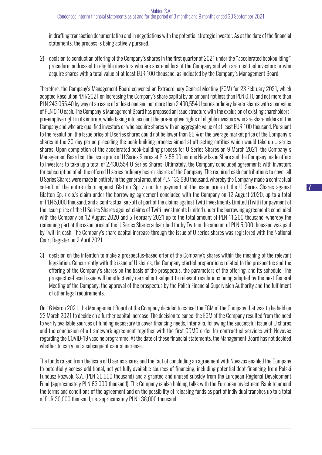in drafting transaction documentation and in negotiations with the potential strategic investor. As at the date of the financial statements, the process is being actively pursued.

2) decision to conduct an offering of the Company's shares in the first quarter of 2021 under the "accelerated bookbuilding" procedure, addressed to eligible investors who are shareholders of the Company and who are qualified investors or who acquire shares with a total value of at least EUR 100 thousand, as indicated by the Company's Management Board.

Therefore, the Company's Management Board convened an Extraordinary General Meeting (EGM) for 23 February 2021, which adopted Resolution 4/II/2021 on increasing the Company's share capital by an amount not less than PLN 0.10 and not more than PLN 243,055.40 by way of an issue of at least one and not more than 2,430,554 U series ordinary bearer shares with a par value of PLN 0.10 each. The Company's Management Board has proposed an issue structure with the exclusion of existing shareholders' pre-emptive right in its entirety, while taking into account the pre-emptive rights of eligible investors who are shareholders of the Company and who are qualified investors or who acquire shares with an aggregate value of at least EUR 100 thousand. Pursuant to the resolution, the issue price of U series shares could not be lower than 90% of the average market price of the Company's shares in the 30-day period preceding the book-building process aimed at attracting entities which would take up U series shares. Upon completion of the accelerated book-building process for U Series Shares on 9 March 2021, the Company's Management Board set the issue price of U Series Shares at PLN 55.00 per one New Issue Share and the Company made offers to investors to take up a total of 2,430,554 U Series Shares. Ultimately, the Company concluded agreements with investors for subscription of all the offered U series ordinary bearer shares of the Company. The required cash contributions to cover all U Series Shares were made in entirety in the general amount of PLN 133,680 thousand, whereby the Company made a contractual set-off of the entire claim against Glatton Sp. z o.o. for payment of the issue price of the U Series Shares against Glatton Sp. z o.o.'s claim under the borrowing agreement concluded with the Company on 12 August 2020, up to a total of PLN 5,000 thousand, and a contractual set-off of part of the claims against Twiti Investments Limited (Twiti) for payment of the issue price of the U Series Shares against claims of Twiti Investments Limited under the borrowing agreements concluded with the Company on 12 August 2020 and 5 February 2021 up to the total amount of PLN 11,200 thousand, whereby the remaining part of the issue price of the U Series Shares subscribed for by Twiti in the amount of PLN 5,000 thousand was paid by Twiti in cash. The Company's share capital increase through the issue of U series shares was registered with the National Court Register on 2 April 2021.

3) decision on the intention to make a prospectus-based offer of the Company's shares within the meaning of the relevant legislation. Concurrently with the issue of U shares, the Company started preparations related to the prospectus and the offering of the Company's shares on the basis of the prospectus, the parameters of the offering, and its schedule. The prospectus-based issue will be effectively carried out subject to relevant resolutions being adopted by the next General Meeting of the Company, the approval of the prospectus by the Polish Financial Supervision Authority and the fulfilment of other legal requirements.

On 16 March 2021, the Management Board of the Company decided to cancel the EGM of the Company that was to be held on 22 March 2021 to decide on a further capital increase. The decision to cancel the EGM of the Company resulted from the need to verify available sources of funding necessary to cover financing needs, inter alia, following the successful issue of U shares and the conclusion of a framework agreement together with the first CDMO order for contractual services with Novavax regarding the COVID-19 vaccine programme. At the date of these financial statements, the Management Board has not decided whether to carry out a subsequent capital increase.

The funds raised from the issue of U series shares and the fact of concluding an agreement with Novavax enabled the Company to potentially access additional, not yet fully available sources of financing, including potential debt financing from Polski Fundusz Rozwoju S.A. (PLN 30,000 thousand) and a granted and unused subsidy from the European Regional Development Fund (approximately PLN 63,000 thousand). The Company is also holding talks with the European Investment Bank to amend the terms and conditions of the agreement and on the possibility of releasing funds as part of individual tranches up to a total of EUR 30,000 thousand, i.e. approximately PLN 138,000 thousand.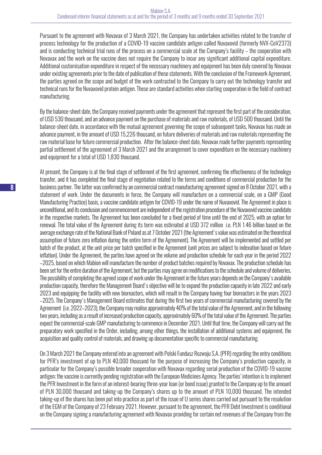Pursuant to the agreement with Novavax of 3 March 2021, the Company has undertaken activities related to the transfer of process technology for the production of a COVID-19 vaccine candidate antigen called Nuvaxovid (formerly NVX-CoV2373) and is conducting technical trial runs of the process on a commercial scale at the Company's facility – the cooperation with Novavax and the work on the vaccine does not require the Company to incur any significant additional capital expenditure. Additional customisation expenditure in respect of the necessary machinery and equipment has been duly covered by Novavax under existing agreements prior to the date of publication of these statements. With the conclusion of the Framework Agreement, the parties agreed on the scope and budget of the work contracted to the Company to carry out the technology transfer and technical runs for the Nuvaxovid protein antigen. These are standard activities when starting cooperation in the field of contract manufacturing.

By the balance-sheet date, the Company received payments under the agreement that represent the first part of the consideration, of USD 530 thousand, and an advance payment on the purchase of materials and raw materials, of USD 500 thousand. Until the balance-sheet date, in accordance with the mutual agreement governing the scope of subsequent tasks, Novavax has made an advance payment, in the amount of USD 15,226 thousand, on future deliveries of materials and raw materials representing the raw material base for future commercial production. After the balance-sheet date, Novavax made further payments representing partial settlement of the agreement of 3 March 2021 and the arrangement to cover expenditure on the necessary machinery and equipment for a total of USD 1,830 thousand.

At present, the Company is at the final stage of settlement of the first agreement, confirming the effectiveness of the technology transfer, and it has completed the final stage of negotiation related to the terms and conditions of commercial production for the business partner. The latter was confirmed by an commercial contract manufacturing agreement signed on 8 October 2021, with a statement of work. Under the documents in force, the Company will manufacture on a commercial scale, on a GMP (Good Manufacturing Practice) basis, a vaccine candidate antigen for COVID-19 under the name of Nuvaxovid. The Agreement in place is unconditional, and its conclusion and commencement are independent of the registration procedure of the Nuvaxovid vaccine candidate in the respective markets. The Agreement has been concluded for a fixed period of time until the end of 2025, with an option for renewal. The total value of the Agreement during its term was estimated at USD 372 million i.e. PLN 1.46 billion based on the average exchange rate of the National Bank of Poland as at 7 October 2021 (the Agreement's value was estimated on the theoretical assumption of future zero inflation during the entire term of the Agreement). The Agreement will be implemented and settled per batch of the product, at the unit price per batch specified in the Agreement (unit prices are subject to indexation based on future inflation). Under the Agreement, the parties have agreed on the volume and production schedule for each year in the period 2022 –2025, based on which Mabion will manufacture the number of product batches required by Novavax. The production schedule has been set for the entire duration of the Agreement, but the parties may agree on modifications to the schedule and volume of deliveries. The possibility of completing the agreed scope of work under the Agreement in the future years depends on the Company's available production capacity, therefore the Management Board's objective will be to expand the production capacity in late 2022 and early 2023 and equipping the facility with new bioreactors, which will result in the Company having four bioreactors in the years 2023 –2025. The Company's Management Board estimates that during the first two years of commercial manufacturing covered by the Agreement (i.e. 2022–2023), the Company may realise approximately 40% of the total value of the Agreement, and in the following two years, including as a result of increased production capacity, approximately 60% of the total value of the Agreement. The parties expect the commercial-scale GMP manufacturing to commence in December 2021. Until that time, the Company will carry out the preparatory work specified in the Order, including, among other things, the installation of additional systems and equipment, the acquisition and quality control of materials, and drawing up documentation specific to commercial manufacturing.

On 3 March 2021 the Company entered into an agreement with Polski Fundusz Rozwoju S.A. (PFR) regarding the entry conditions for PFR's investment of up to PLN 40,000 thousand for the purpose of increasing the Company's production capacity, in particular for the Company's possible broader cooperation with Novavax regarding serial production of the COVID-19 vaccine antigen; the vaccine is currently pending registration with the European Medicines Agency. The parties' intention is to implement the PFR Investment in the form of an interest-bearing three-year loan (or bond issue) granted to the Company up to the amount of PLN 30,000 thousand and taking-up the Company's shares up to the amount of PLN 10,000 thousand. The intended taking-up of the shares has been put into practice as part of the issue of U series shares carried out pursuant to the resolution of the EGM of the Company of 23 February 2021. However, pursuant to the agreement, the PFR Debt Investment is conditional on the Company signing a manufacturing agreement with Novavax providing for certain net revenues of the Company from the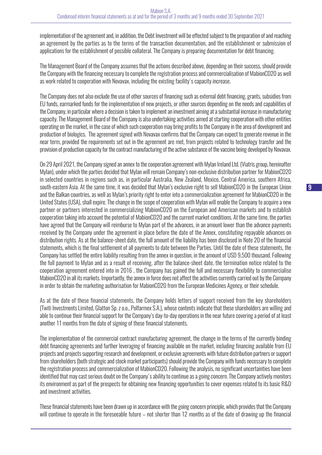implementation of the agreement and, in addition, the Debt Investment will be effected subject to the preparation of and reaching an agreement by the parties as to the terms of the transaction documentation, and the establishment or submission of applications for the establishment of possible collateral. The Company is preparing documentation for debt financing.

The Management Board of the Company assumes that the actions described above, depending on their success, should provide the Company with the financing necessary to complete the registration process and commercialisation of MabionCD20 as well as work related to cooperation with Novavax, including the existing facility's capacity increase.

The Company does not also exclude the use of other sources of financing such as external debt financing, grants, subsidies from EU funds, earmarked funds for the implementation of new projects, or other sources depending on the needs and capabilities of the Company, in particular where a decision is taken to implement an investment aiming at a substantial increase in manufacturing capacity. The Management Board of the Company is also undertaking activities aimed at starting cooperation with other entities operating on the market, in the case of which such cooperation may bring profits to the Company in the area of development and production of biologics. The agreement signed with Novavax confirms that the Company can expect to generate revenue in the near term, provided the requirements set out in the agreement are met, from projects related to technology transfer and the provision of production capacity for the contract manufacturing of the active substance of the vaccine being developed by Novavax.

On 29 April 2021, the Company signed an annex to the cooperation agreement with Mylan Ireland Ltd. (Viatris group, hereinafter Mylan), under which the parties decided that Mylan will remain Company's non-exclusive distribution partner for MabionCD20 in selected countries in regions such as, in particular Australia, New Zealand, Mexico, Central America, southern Africa, south-eastern Asia. At the same time, it was decided that Mylan's exclusive right to sell MabionCD20 in the European Union and the Balkan countries, as well as Mylan's priority right to enter into a commercialization agreement for MabionCD20 in the United States (USA), shall expire. The change in the scope of cooperation with Mylan will enable the Company to acquire a new partner or partners interested in commercializing MabionCD20 on the European and American markets and to establish cooperation taking into account the potential of MabionCD20 and the current market conditions. At the same time, the parties have agreed that the Company will reimburse to Mylan part of the advances, in an amount lower than the advance payments received by the Company under the agreement in place before the date of the Annex, constituting repayable advances on distribution rights. As at the balance-sheet date, the full amount of the liability has been disclosed in Note 20 of the financial statements, which is the final settlement of all payments to date between the Parties. Until the date of these statements, the Company has settled the entire liability resulting from the annex in question, in the amount of USD 9,500 thousand. Following the full payment to Mylan and as a result of receiving, after the balance-sheet date, the termination notice related to the cooperation agreement entered into in 2016 , the Company has gained the full and necessary flexibility to commercialise MabionCD20 in all its markets. Importantly, the annex in force does not affect the activities currently carried out by the Company in order to obtain the marketing authorisation for MabionCD20 from the European Medicines Agency, or their schedule.

As at the date of these financial statements, the Company holds letters of support received from the key shareholders (Twiti Investments Limited, Glatton Sp. z o.o., Polfarmex S.A.), whose contents indicate that these shareholders are willing and able to continue their financial support for the Company's day-to-day operations in the near future covering a period of at least another 11 months from the date of signing of these financial statements.

The implementation of the commercial contract manufacturing agreement, the change in the terms of the currently binding debt financing agreements and further leveraging of financing available on the market, including financing available from EU projects and projects supporting research and development, or exclusive agreements with future distribution partners or support from shareholders (both strategic and stock market participants) should provide the Company with funds necessary to complete the registration process and commercialization of MabionCD20. Following the analysis, no significant uncertainties have been identified that may cast serious doubt on the Company's ability to continue as a going concern. The Company actively monitors its environment as part of the prospects for obtaining new financing opportunities to cover expenses related to its basic R&D and investment activities.

These financial statements have been drawn up in accordance with the going concern principle, which provides that the Company will continue to operate in the foreseeable future – not shorter than 12 months as of the date of drawing up the financial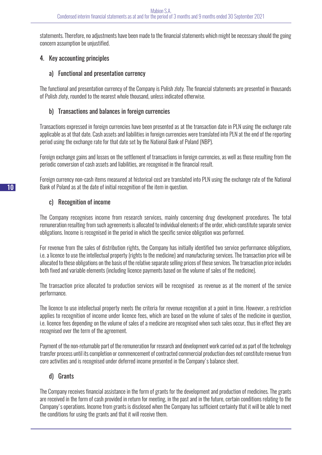statements. Therefore, no adjustments have been made to the financial statements which might be necessary should the going concern assumption be unjustified.

## 4. Key accounting principles

## a) Functional and presentation currency

The functional and presentation currency of the Company is Polish zloty. The financial statements are presented in thousands of Polish zloty, rounded to the nearest whole thousand, unless indicated otherwise.

## b) Transactions and balances in foreign currencies

Transactions expressed in foreign currencies have been presented as at the transaction date in PLN using the exchange rate applicable as at that date. Cash assets and liabilities in foreign currencies were translated into PLN at the end of the reporting period using the exchange rate for that date set by the National Bank of Poland (NBP).

Foreign exchange gains and losses on the settlement of transactions in foreign currencies, as well as those resulting from the periodic conversion of cash assets and liabilities, are recognised in the financial result.

Foreign currency non-cash items measured at historical cost are translated into PLN using the exchange rate of the National Bank of Poland as at the date of initial recognition of the item in question.

## c) Recognition of income

The Company recognises income from research services, mainly concerning drug development procedures. The total remuneration resulting from such agreements is allocated to individual elements of the order, which constitute separate service obligations. Income is recognised in the period in which the specific service obligation was performed.

For revenue from the sales of distribution rights, the Company has initially identified two service performance obligations, i.e. a licence to use the intellectual property (rights to the medicine) and manufacturing services. The transaction price will be allocated to these obligations on the basis of the relative separate selling prices of these services. The transaction price includes both fixed and variable elements (including licence payments based on the volume of sales of the medicine).

The transaction price allocated to production services will be recognised as revenue as at the moment of the service performance.

The licence to use intellectual property meets the criteria for revenue recognition at a point in time. However, a restriction applies to recognition of income under licence fees, which are based on the volume of sales of the medicine in question, i.e. licence fees depending on the volume of sales of a medicine are recognised when such sales occur, thus in effect they are recognised over the term of the agreement.

Payment of the non-returnable part of the remuneration for research and development work carried out as part of the technology transfer process until its completion or commencement of contracted commercial production does not constitute revenue from core activities and is recognised under deferred income presented in the Company's balance sheet.

## d) Grants

The Company receives financial assistance in the form of grants for the development and production of medicines. The grants are received in the form of cash provided in return for meeting, in the past and in the future, certain conditions relating to the Company's operations. Income from grants is disclosed when the Company has sufficient certainty that it will be able to meet the conditions for using the grants and that it will receive them.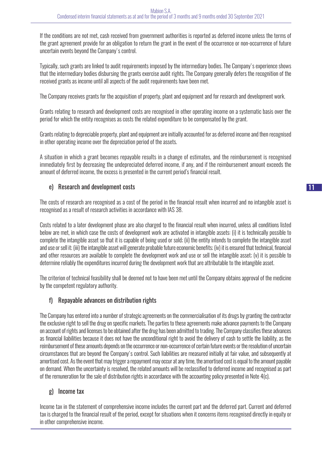If the conditions are not met, cash received from government authorities is reported as deferred income unless the terms of the grant agreement provide for an obligation to return the grant in the event of the occurrence or non-occurrence of future uncertain events beyond the Company's control.

Typically, such grants are linked to audit requirements imposed by the intermediary bodies. The Company's experience shows that the intermediary bodies disbursing the grants exercise audit rights. The Company generally defers the recognition of the received grants as income until all aspects of the audit requirements have been met.

The Company receives grants for the acquisition of property, plant and equipment and for research and development work.

Grants relating to research and development costs are recognised in other operating income on a systematic basis over the period for which the entity recognises as costs the related expenditure to be compensated by the grant.

Grants relating to depreciable property, plant and equipment are initially accounted for as deferred income and then recognised in other operating income over the depreciation period of the assets.

A situation in which a grant becomes repayable results in a change of estimates, and the reimbursement is recognised immediately first by decreasing the undepreciated deferred income, if any, and if the reimbursement amount exceeds the amount of deferred income, the excess is presented in the current period's financial result.

#### e) Research and development costs

The costs of research are recognised as a cost of the period in the financial result when incurred and no intangible asset is recognised as a result of research activities in accordance with IAS 38.

Costs related to a later development phase are also charged to the financial result when incurred, unless all conditions listed below are met, in which case the costs of development work are activated in intangible assets: (i) it is technically possible to complete the intangible asset so that it is capable of being used or sold; (ii) the entity intends to complete the intangible asset and use or sell it; (iii) the intangible asset will generate probable future economic benefits; (iv) it is ensured that technical, financial and other resources are available to complete the development work and use or sell the intangible asset; (v) it is possible to determine reliably the expenditures incurred during the development work that are attributable to the intangible asset.

The criterion of technical feasibility shall be deemed not to have been met until the Company obtains approval of the medicine by the competent regulatory authority.

## f) Repayable advances on distribution rights

The Company has entered into a number of strategic agreements on the commercialisation of its drugs by granting the contractor the exclusive right to sell the drug on specific markets. The parties to these agreements make advance payments to the Company on account of rights and licenses to be obtained after the drug has been admitted to trading. The Company classifies these advances as financial liabilities because it does not have the unconditional right to avoid the delivery of cash to settle the liability, as the reimbursement of these amounts depends on the occurrence or non-occurrence of certain future events or the resolution of uncertain circumstances that are beyond the Company's control. Such liabilities are measured initially at fair value, and subsequently at amortised cost. As the event that may trigger a repayment may occur at any time, the amortised cost is equal to the amount payable on demand. When the uncertainty is resolved, the related amounts will be reclassified to deferred income and recognised as part of the remuneration for the sale of distribution rights in accordance with the accounting policy presented in Note 4(c).

#### g) Income tax

Income tax in the statement of comprehensive income includes the current part and the deferred part. Current and deferred tax is charged to the financial result of the period, except for situations when it concerns items recognised directly in equity or in other comprehensive income.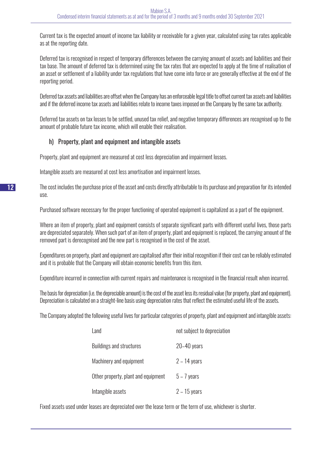Current tax is the expected amount of income tax liability or receivable for a given year, calculated using tax rates applicable as at the reporting date.

Deferred tax is recognised in respect of temporary differences between the carrying amount of assets and liabilities and their tax base. The amount of deferred tax is determined using the tax rates that are expected to apply at the time of realisation of an asset or settlement of a liability under tax regulations that have come into force or are generally effective at the end of the reporting period.

Deferred tax assets and liabilities are offset when the Company has an enforceable legal title to offset current tax assets and liabilities and if the deferred income tax assets and liabilities relate to income taxes imposed on the Company by the same tax authority.

Deferred tax assets on tax losses to be settled, unused tax relief, and negative temporary differences are recognised up to the amount of probable future tax income, which will enable their realisation.

#### h) Property, plant and equipment and intangible assets

Property, plant and equipment are measured at cost less depreciation and impairment losses.

Intangible assets are measured at cost less amortisation and impairment losses.

The cost includes the purchase price of the asset and costs directly attributable to its purchase and preparation for its intended use.

Purchased software necessary for the proper functioning of operated equipment is capitalized as a part of the equipment.

Where an item of property, plant and equipment consists of separate significant parts with different useful lives, those parts are depreciated separately. When such part of an item of property, plant and equipment is replaced, the carrying amount of the removed part is derecognised and the new part is recognised in the cost of the asset.

Expenditures on property, plant and equipment are capitalised after their initial recognition if their cost can be reliably estimated and it is probable that the Company will obtain economic benefits from this item.

Expenditure incurred in connection with current repairs and maintenance is recognised in the financial result when incurred.

The basis for depreciation (i.e. the depreciable amount) is the cost of the asset less its residual value (for property, plant and equipment). Depreciation is calculated on a straight-line basis using depreciation rates that reflect the estimated useful life of the assets.

The Company adopted the following useful lives for particular categories of property, plant and equipment and intangible assets:

| Land                                | not subject to depreciation |
|-------------------------------------|-----------------------------|
| <b>Buildings and structures</b>     | $20 - 40$ years             |
| Machinery and equipment             | $2 - 14$ years              |
| Other property, plant and equipment | $5 - 7$ years               |
| Intangible assets                   | $2 - 15$ years              |

Fixed assets used under leases are depreciated over the lease term or the term of use, whichever is shorter.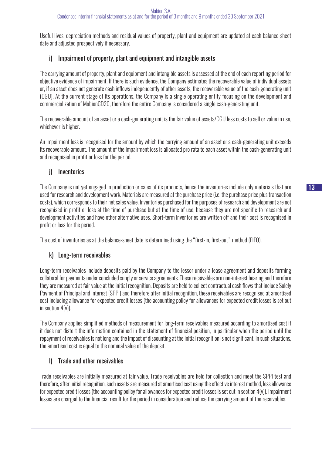Useful lives, depreciation methods and residual values of property, plant and equipment are updated at each balance-sheet date and adjusted prospectively if necessary.

## i) Impairment of property, plant and equipment and intangible assets

The carrying amount of property, plant and equipment and intangible assets is assessed at the end of each reporting period for objective evidence of impairment. If there is such evidence, the Company estimates the recoverable value of individual assets or, if an asset does not generate cash inflows independently of other assets, the recoverable value of the cash-generating unit (CGU). At the current stage of its operations, the Company is a single operating entity focusing on the development and commercialization of MabionCD20, therefore the entire Company is considered a single cash-generating unit.

The recoverable amount of an asset or a cash-generating unit is the fair value of assets/CGU less costs to sell or value in use, whichever is higher.

An impairment loss is recognised for the amount by which the carrying amount of an asset or a cash-generating unit exceeds its recoverable amount. The amount of the impairment loss is allocated pro rata to each asset within the cash-generating unit and recognised in profit or loss for the period.

## j) Inventories

The Company is not yet engaged in production or sales of its products, hence the inventories include only materials that are used for research and development work. Materials are measured at the purchase price (i.e. the purchase price plus transaction costs), which corresponds to their net sales value. Inventories purchased for the purposes of research and development are not recognised in profit or loss at the time of purchase but at the time of use, because they are not specific to research and development activities and have other alternative uses. Short-term inventories are written off and their cost is recognised in profit or loss for the period.

The cost of inventories as at the balance-sheet date is determined using the "first-in, first-out" method (FIFO).

## k) Long-term receivables

Long-term receivables include deposits paid by the Company to the lessor under a lease agreement and deposits forming collateral for payments under concluded supply or service agreements. These receivables are non-interest bearing and therefore they are measured at fair value at the initial recognition. Deposits are held to collect contractual cash flows that include Solely Payment of Principal and Interest (SPPI) and therefore after initial recognition, these receivables are recognised at amortised cost including allowance for expected credit losses (the accounting policy for allowances for expected credit losses is set out in section  $4(v)$ ).

The Company applies simplified methods of measurement for long-term receivables measured according to amortised cost if it does not distort the information contained in the statement of financial position, in particular when the period until the repayment of receivables is not long and the impact of discounting at the initial recognition is not significant. In such situations, the amortised cost is equal to the nominal value of the deposit.

## l) Trade and other receivables

Trade receivables are initially measured at fair value. Trade receivables are held for collection and meet the SPPI test and therefore, after initial recognition, such assets are measured at amortised cost using the effective interest method, less allowance for expected credit losses (the accounting policy for allowances for expected credit losses is set out in section 4(v)). Impairment losses are charged to the financial result for the period in consideration and reduce the carrying amount of the receivables.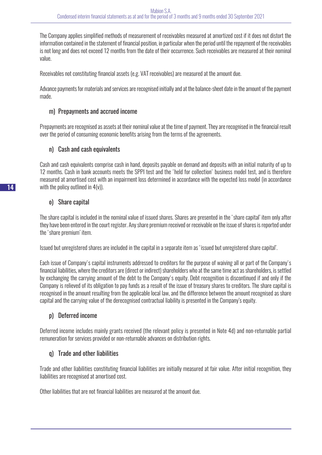The Company applies simplified methods of measurement of receivables measured at amortized cost if it does not distort the information contained in the statement of financial position, in particular when the period until the repayment of the receivables is not long and does not exceed 12 months from the date of their occurrence. Such receivables are measured at their nominal value.

Receivables not constituting financial assets (e.g. VAT receivables) are measured at the amount due.

Advance payments for materials and services are recognised initially and at the balance-sheet date in the amount of the payment made.

#### m) Prepayments and accrued income

Prepayments are recognised as assets at their nominal value at the time of payment. They are recognised in the financial result over the period of consuming economic benefits arising from the terms of the agreements.

#### n) Cash and cash equivalents

Cash and cash equivalents comprise cash in hand, deposits payable on demand and deposits with an initial maturity of up to 12 months. Cash in bank accounts meets the SPPI test and the 'held for collection' business model test, and is therefore measured at amortised cost with an impairment loss determined in accordance with the expected loss model (in accordance with the policy outlined in  $4(v)$ ).

#### o) Share capital

The share capital is included in the nominal value of issued shares. Shares are presented in the 'share capital' item only after they have been entered in the court register. Any share premium received or receivable on the issue of shares is reported under the 'share premium' item.

Issued but unregistered shares are included in the capital in a separate item as 'issued but unregistered share capital'.

Each issue of Company's capital instruments addressed to creditors for the purpose of waiving all or part of the Company's financial liabilities, where the creditors are (direct or indirect) shareholders who at the same time act as shareholders, is settled by exchanging the carrying amount of the debt to the Company's equity. Debt recognition is discontinued if and only if the Company is relieved of its obligation to pay funds as a result of the issue of treasury shares to creditors. The share capital is recognised in the amount resulting from the applicable local law, and the difference between the amount recognised as share capital and the carrying value of the derecognised contractual liability is presented in the Company's equity.

## p) Deferred income

Deferred income includes mainly grants received (the relevant policy is presented in Note 4d) and non-returnable partial remuneration for services provided or non-returnable advances on distribution rights.

## q) Trade and other liabilities

Trade and other liabilities constituting financial liabilities are initially measured at fair value. After initial recognition, they liabilities are recognised at amortised cost.

Other liabilities that are not financial liabilities are measured at the amount due.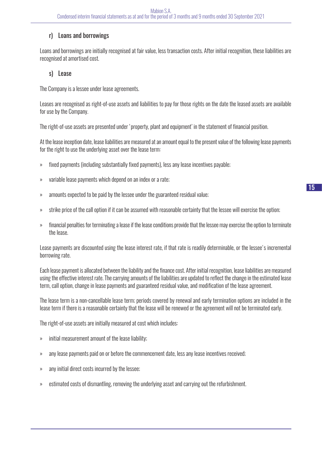## r) Loans and borrowings

Loans and borrowings are initially recognised at fair value, less transaction costs. After initial recognition, these liabilities are recognised at amortised cost.

#### s) Lease

The Company is a lessee under lease agreements.

Leases are recognised as right-of-use assets and liabilities to pay for those rights on the date the leased assets are available for use by the Company.

The right-of-use assets are presented under 'property, plant and equipment' in the statement of financial position.

At the lease inception date, lease liabilities are measured at an amount equal to the present value of the following lease payments for the right to use the underlying asset over the lease term:

- » fixed payments (including substantially fixed payments), less any lease incentives payable;
- » variable lease payments which depend on an index or a rate;
- » amounts expected to be paid by the lessee under the guaranteed residual value;
- » strike price of the call option if it can be assumed with reasonable certainty that the lessee will exercise the option;
- » financial penalties for terminating a lease if the lease conditions provide that the lessee may exercise the option to terminate the lease.

Lease payments are discounted using the lease interest rate, if that rate is readily determinable, or the lessee's incremental borrowing rate.

Each lease payment is allocated between the liability and the finance cost. After initial recognition, lease liabilities are measured using the effective interest rate. The carrying amounts of the liabilities are updated to reflect the change in the estimated lease term, call option, change in lease payments and guaranteed residual value, and modification of the lease agreement.

The lease term is a non-cancellable lease term; periods covered by renewal and early termination options are included in the lease term if there is a reasonable certainty that the lease will be renewed or the agreement will not be terminated early.

The right-of-use assets are initially measured at cost which includes:

- » initial measurement amount of the lease liability;
- » any lease payments paid on or before the commencement date, less any lease incentives received;
- » any initial direct costs incurred by the lessee;
- » estimated costs of dismantling, removing the underlying asset and carrying out the refurbishment.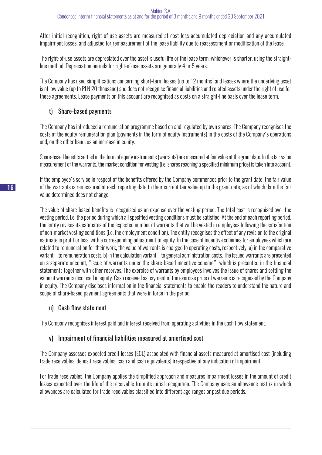After initial recognition, right-of-use assets are measured at cost less accumulated depreciation and any accumulated impairment losses, and adjusted for remeasurement of the lease liability due to reassessment or modification of the lease.

The right-of-use assets are depreciated over the asset's useful life or the lease term, whichever is shorter, using the straightline method. Depreciation periods for right-of-use assets are generally 4 or 5 years.

The Company has used simplifications concerning short-term leases (up to 12 months) and leases where the underlying asset is of low value (up to PLN 20 thousand) and does not recognise financial liabilities and related assets under the right of use for these agreements. Lease payments on this account are recognised as costs on a straight-line basis over the lease term.

## t) Share-based payments

The Company has introduced a remuneration programme based on and regulated by own shares. The Company recognises the costs of the equity remuneration plan (payments in the form of equity instruments) in the costs of the Company's operations and, on the other hand, as an increase in equity.

Share-based benefits settled in the form of equity instruments (warrants) are measured at fair value at the grant date. In the fair value measurement of the warrants, the market condition for vesting (i.e. shares reaching a specified minimum price) is taken into account.

If the employee's service in respect of the benefits offered by the Company commences prior to the grant date, the fair value of the warrants is remeasured at each reporting date to their current fair value up to the grant date, as of which date the fair value determined does not change.

The value of share-based benefits is recognised as an expense over the vesting period. The total cost is recognised over the vesting period, i.e. the period during which all specified vesting conditions must be satisfied. At the end of each reporting period, the entity revises its estimates of the expected number of warrants that will be vested in employees following the satisfaction of non-market vesting conditions (i.e. the employment condition). The entity recognises the effect of any revision to the original estimate in profit or loss, with a corresponding adjustment to equity. In the case of incentive schemes for employees which are related to remuneration for their work, the value of warrants is charged to operating costs, respectively: a) in the comparative variant – to remuneration costs, b) in the calculation variant – to general administration costs. The issued warrants are presented on a separate account, "Issue of warrants under the share-based incentive scheme", which is presented in the financial statements together with other reserves. The exercise of warrants by employees involves the issue of shares and settling the value of warrants disclosed in equity. Cash received as payment of the exercise price of warrants is recognised by the Company in equity. The Company discloses information in the financial statements to enable the readers to understand the nature and scope of share-based payment agreements that were in force in the period.

## u) Cash flow statement

The Company recognises interest paid and interest received from operating activities in the cash flow statement.

## v) Impairment of financial liabilities measured at amortised cost

The Company assesses expected credit losses (ECL) associated with financial assets measured at amortised cost (including trade receivables, deposit receivables, cash and cash equivalents) irrespective of any indication of impairment.

For trade receivables, the Company applies the simplified approach and measures impairment losses in the amount of credit losses expected over the life of the receivable from its initial recognition. The Company uses an allowance matrix in which allowances are calculated for trade receivables classified into different age ranges or past due periods.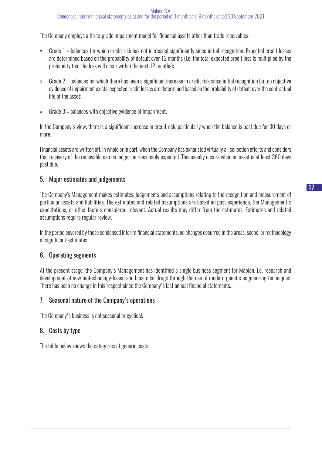The Company employs a three-grade impairment model for financial assets other than trade receivables:

- » Grade 1 balances for which credit risk has not increased significantly since initial recognition; Expected credit losses are determined based on the probability of default over 12 months (i.e. the total expected credit loss is multiplied by the probability that the loss will occur within the next 12 months);
- » Grade 2 balances for which there has been a significant increase in credit risk since initial recognition but no objective evidence of impairment exists; expected credit losses are determined based on the probability of default over the contractual life of the asset;
- » Grade 3 balances with objective evidence of impairment.

In the Company's view, there is a significant increase in credit risk, particularly when the balance is past due for 30 days or more.

Financial assets are written off, in whole or in part, when the Company has exhausted virtually all collection efforts and considers that recovery of the receivable can no longer be reasonably expected. This usually occurs when an asset is at least 360 days past due.

## 5. Major estimates and judgements

The Company's Management makes estimates, judgements and assumptions relating to the recognition and measurement of particular assets and liabilities. The estimates and related assumptions are based on past experience, the Management's expectations, or other factors considered relevant. Actual results may differ from the estimates. Estimates and related assumptions require regular review.

In the period covered by these condensed interim financial statements, no changes occurred in the areas, scope, or methodology of significant estimates.

## 6. Operating segments

At the present stage, the Company's Management has identified a single business segment for Mabion, i.e. research and development of new biotechnology-based and biosimilar drugs through the use of modern genetic engineering techniques. There has been no change in this respect since the Company's last annual financial statements.

## 7. Seasonal nature of the Company's operations

The Company's business is not seasonal or cyclical.

## 8. Costs by type

The table below shows the categories of generic costs: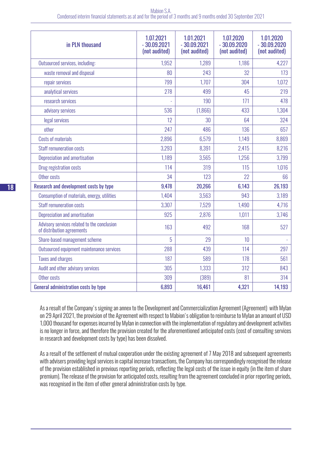| in PLN thousand                                                           | 1.07.2021<br>$-30.09.2021$<br>(not audited) | 1.01.2021<br>$-30.09.2021$<br>(not audited) | 1.07.2020<br>$-30.09.2020$<br>(not audited) | 1.01.2020<br>$-30.09.2020$<br>(not audited) |
|---------------------------------------------------------------------------|---------------------------------------------|---------------------------------------------|---------------------------------------------|---------------------------------------------|
| Outsourced services, including:                                           | 1,952                                       | 1,289                                       | 1,186                                       | 4,227                                       |
| waste removal and disposal                                                | 80                                          | 243                                         | 32                                          | 173                                         |
| repair services                                                           | 799                                         | 1,707                                       | 304                                         | 1,072                                       |
| analytical services                                                       | 278                                         | 499                                         | 45                                          | 219                                         |
| research services                                                         |                                             | 190                                         | 171                                         | 478                                         |
| advisory services                                                         | 536                                         | (1,866)                                     | 433                                         | 1,304                                       |
| legal services                                                            | 12                                          | 30                                          | 64                                          | 324                                         |
| other                                                                     | 247                                         | 486                                         | 136                                         | 657                                         |
| <b>Costs of materials</b>                                                 | 2,896                                       | 6,579                                       | 1,149                                       | 8,869                                       |
| <b>Staff remuneration costs</b>                                           | 3,293                                       | 8,391                                       | 2,415                                       | 8,216                                       |
| Depreciation and amortisation                                             | 1,189                                       | 3,565                                       | 1,256                                       | 3,799                                       |
| Drug registration costs                                                   | 114                                         | 319                                         | 115                                         | 1,016                                       |
| Other costs                                                               | 34                                          | 123                                         | 22                                          | 66                                          |
| Research and development costs by type                                    | 9,478                                       | 20,266                                      | 6,143                                       | 26,193                                      |
| Consumption of materials, energy, utilities                               | 1,404                                       | 3,563                                       | 943                                         | 3,189                                       |
| <b>Staff remuneration costs</b>                                           | 3,307                                       | 7,529                                       | 1,490                                       | 4,716                                       |
| Depreciation and amortisation                                             | 925                                         | 2,876                                       | 1,011                                       | 3,746                                       |
| Advisory services related to the conclusion<br>of distribution agreements | 163                                         | 492                                         | 168                                         | 527                                         |
| Share-based management scheme                                             | 5                                           | 29                                          | 10                                          |                                             |
| Outsourced equipment maintenance services                                 | 288                                         | 439                                         | 114                                         | 297                                         |
| <b>Taxes and charges</b>                                                  | 187                                         | 589                                         | 178                                         | 561                                         |
| Audit and other advisory services                                         | 305                                         | 1,333                                       | 312                                         | 843                                         |
| Other costs                                                               | 309                                         | (389)                                       | 81                                          | 314                                         |
| General administration costs by type                                      | 6,893                                       | 16,461                                      | 4,321                                       | 14,193                                      |

As a result of the Company's signing an annex to the Development and Commercialization Agreement (Agreement) with Mylan on 29 April 2021, the provision of the Agreement with respect to Mabion's obligation to reimburse to Mylan an amount of USD 1,000 thousand for expenses incurred by Mylan in connection with the implementation of regulatory and development activities is no longer in force, and therefore the provision created for the aforementioned anticipated costs (cost of consulting services in research and development costs by type) has been dissolved.

As a result of the settlement of mutual cooperation under the existing agreement of 7 May 2018 and subsequent agreements with advisers providing legal services in capital increase transactions, the Company has correspondingly recognised the release of the provision established in previous reporting periods, reflecting the legal costs of the issue in equity (in the item of share premium). The release of the provision for anticipated costs, resulting from the agreement concluded in prior reporting periods, was recognised in the item of other general administration costs by type.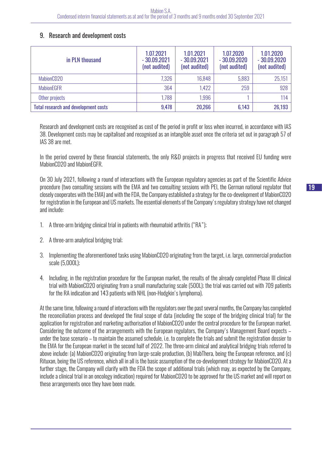#### 9. Research and development costs

| in PLN thousand                             | 1.07.2021<br>$-30.09.2021$<br>(not audited) | 1.01.2021<br>$-30.09.2021$<br>(not audited) | 1.07.2020<br>$-30.09.2020$<br>(not audited) | 1.01.2020<br>$-30.09.2020$<br>(not audited) |
|---------------------------------------------|---------------------------------------------|---------------------------------------------|---------------------------------------------|---------------------------------------------|
| MabionCD20                                  | 7,326                                       | 16,848                                      | 5,883                                       | 25,151                                      |
| <b>MabionEGFR</b>                           | 364                                         | 1,422                                       | 259                                         | 928                                         |
| Other projects                              | 1,788                                       | 1,996                                       |                                             | 114                                         |
| <b>Total research and development costs</b> | 9,478                                       | 20,266                                      | 6,143                                       | 26,193                                      |

Research and development costs are recognised as cost of the period in profit or loss when incurred, in accordance with IAS 38. Development costs may be capitalised and recognised as an intangible asset once the criteria set out in paragraph 57 of IAS 38 are met.

In the period covered by these financial statements, the only R&D projects in progress that received EU funding were MabionCD20 and MabionEGFR.

On 30 July 2021, following a round of interactions with the European regulatory agencies as part of the Scientific Advice procedure (two consulting sessions with the EMA and two consulting sessions with PEI, the German national regulator that closely cooperates with the EMA) and with the FDA, the Company established a strategy for the co-development of MabionCD20 for registration in the European and US markets. The essential elements of the Company's regulatory strategy have not changed and include:

- 1. A three-arm bridging clinical trial in patients with rheumatoid arthritis ("RA");
- 2. A three-arm analytical bridging trial;
- 3. Implementing the aforementioned tasks using MabionCD20 originating from the target, i.e. large, commercial production scale (5,000L);
- 4. Including, in the registration procedure for the European market, the results of the already completed Phase III clinical trial with MabionCD20 originating from a small manufacturing scale (500L); the trial was carried out with 709 patients for the RA indication and 143 patients with NHL (non-Hodgkin's lymphoma).

At the same time, following a round of interactions with the regulators over the past several months, the Company has completed the reconciliation process and developed the final scope of data (including the scope of the bridging clinical trial) for the application for registration and marketing authorisation of MabionCD20 under the central procedure for the European market. Considering the outcome of the arrangements with the European regulators, the Company's Management Board expects – under the base scenario – to maintain the assumed schedule, i.e. to complete the trials and submit the registration dossier to the EMA for the European market in the second half of 2022. The three-arm clinical and analytical bridging trials referred to above include: (a) MabionCD20 originating from large-scale production, (b) MabThera, being the European reference, and (c) Rituxan, being the US reference, which all in all is the basic assumption of the co-development strategy for MabionCD20. At a further stage, the Company will clarify with the FDA the scope of additional trials (which may, as expected by the Company, include a clinical trial in an oncology indication) required for MabionCD20 to be approved for the US market and will report on these arrangements once they have been made.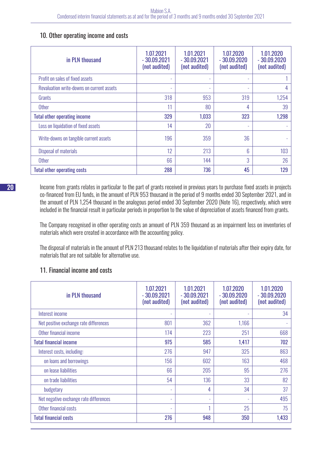10. Other operating income and costs

| in PLN thousand                           | 1.07.2021<br>$-30.09.2021$<br>(not audited) | 1.01.2021<br>$-30.09.2021$<br>(not audited) | 1.07.2020<br>$-30.09.2020$<br>(not audited) | 1.01.2020<br>$-30.09.2020$<br>(not audited) |
|-------------------------------------------|---------------------------------------------|---------------------------------------------|---------------------------------------------|---------------------------------------------|
| Profit on sales of fixed assets           | ۰                                           |                                             | ٠                                           |                                             |
| Revaluation write-downs on current assets | ۰                                           |                                             | ٠                                           | 4                                           |
| Grants                                    | 318                                         | 953                                         | 319                                         | 1,254                                       |
| <b>Other</b>                              | 11                                          | 80                                          | 4                                           | 39                                          |
| <b>Total other operating income</b>       | 329                                         | 1,033                                       | 323                                         | 1,298                                       |
| Loss on liquidation of fixed assets       | 14                                          | 20                                          | ٠                                           |                                             |
| Write-downs on tangible current assets    | 196                                         | 359                                         | 36                                          |                                             |
| Disposal of materials                     | 12                                          | 213                                         | 6                                           | 103                                         |
| <b>Other</b>                              | 66                                          | 144                                         | 3                                           | 26                                          |
| <b>Total other operating costs</b>        | 288                                         | 736                                         | 45                                          | 129                                         |

Income from grants relates in particular to the part of grants received in previous years to purchase fixed assets in projects co-financed from EU funds, in the amount of PLN 953 thousand in the period of 9 months ended 30 September 2021, and in the amount of PLN 1,254 thousand in the analogous period ended 30 September 2020 (Note 16), respectively, which were included in the financial result in particular periods in proportion to the value of depreciation of assets financed from grants.

The Company recognised in other operating costs an amount of PLN 359 thousand as an impairment loss on inventories of materials which were created in accordance with the accounting policy.

The disposal of materials in the amount of PLN 213 thousand relates to the liquidation of materials after their expiry date, for materials that are not suitable for alternative use.

## 11. Financial income and costs

| in PLN thousand                        | 1.07.2021<br>$-30.09.2021$<br>(not audited) | 1.01.2021<br>$-30.09.2021$<br>(not audited) | 1.07.2020<br>$-30.09.2020$<br>(not audited) | 1.01.2020<br>$-30.09.2020$<br>(not audited) |
|----------------------------------------|---------------------------------------------|---------------------------------------------|---------------------------------------------|---------------------------------------------|
| Interest income                        | ٠                                           |                                             |                                             | 34                                          |
| Net positive exchange rate differences | 801                                         | 362                                         | 1,166                                       |                                             |
| Other financial income                 | 174                                         | 223                                         | 251                                         | 668                                         |
| <b>Total financial income</b>          | 975                                         | 585                                         | 1,417                                       | 702                                         |
| Interest costs, including:             | 276                                         | 947                                         | 325                                         | 863                                         |
| on loans and borrowings                | 156                                         | 602                                         | 163                                         | 468                                         |
| on lease liabilities                   | 66                                          | 205                                         | 95                                          | 276                                         |
| on trade liabilities                   | 54                                          | 136                                         | 33                                          | 82                                          |
| budgetary                              | ٠                                           | 4                                           | 34                                          | 37                                          |
| Net negative exchange rate differences | ٠                                           | $\overline{a}$                              | $\overline{\phantom{a}}$                    | 495                                         |
| Other financial costs                  | ٠                                           |                                             | 25                                          | 75                                          |
| <b>Total financial costs</b>           | 276                                         | 948                                         | 350                                         | 1,433                                       |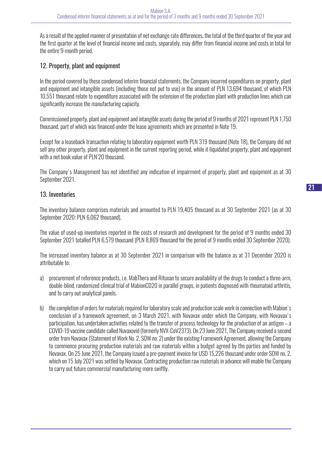As a result of the applied manner of presentation of net exchange rate differences, the total of the third quarter of the year and the first quarter at the level of financial income and costs, separately, may differ from financial income and costs in total for the entire 9-month period.

## 12. Property, plant and equipment

In the period covered by these condensed interim financial statements, the Company incurred expenditures on property, plant and equipment and intangible assets (including those not put to use) in the amount of PLN 13,694 thousand, of which PLN 10,551 thousand relate to expenditure associated with the extension of the production plant with production lines which can significantly increase the manufacturing capacity.

Commissioned property, plant and equipment and intangible assets during the period of 9 months of 2021 represent PLN 1,750 thousand, part of which was financed under the lease agreements which are presented in Note 19.

Except for a leaseback transaction relating to laboratory equipment worth PLN 319 thousand (Note 18), the Company did not sell any other property, plant and equipment in the current reporting period, while it liquidated property, plant and equipment with a net book value of PLN 20 thousand.

The Company's Management has not identified any indication of impairment of property, plant and equipment as at 30 September 2021.

#### 13. Inventories

The inventory balance comprises materials and amounted to PLN 19,405 thousand as at 30 September 2021 (as at 30 September 2020: PLN 6,062 thousand).

The value of used-up inventories reported in the costs of research and development for the period of 9 months ended 30 September 2021 totalled PLN 6,579 thousand (PLN 8,869 thousand for the period of 9 months ended 30 September 2020).

The increased inventory balance as at 30 September 2021 in comparison with the balance as at 31 December 2020 is attributable to:

- a) procurement of reference products, i.e. MabThera and Rituxan to secure availability of the drugs to conduct a three-arm, double-blind, randomized clinical trial of MabionCD20 in parallel groups, in patients diagnosed with rheumatoid arthritis, and to carry out analytical panels.
- b) the completion of orders for materials required for laboratory scale and production scale work in connection with Mabion's conclusion of a framework agreement, on 3 March 2021, with Novavax under which the Company, with Novavax's participation, has undertaken activities related to the transfer of process technology for the production of an antigen – a COVID-19 vaccine candidate called Nuvaxovid (formerly NVX-CoV2373). On 23 June 2021, The Company received a second order from Novavax (Statement of Work No. 2, SOW no. 2) under the existing Framework Agreement, allowing the Company to commence procuring production materials and raw materials within a budget agreed by the parties and funded by Novavax. On 25 June 2021, the Company issued a pre-payment invoice for USD 15,226 thousand under order SOW no. 2, which on 15 July 2021 was settled by Novavax. Contracting production raw materials in advance will enable the Company to carry out future commercial manufacturing more swiftly.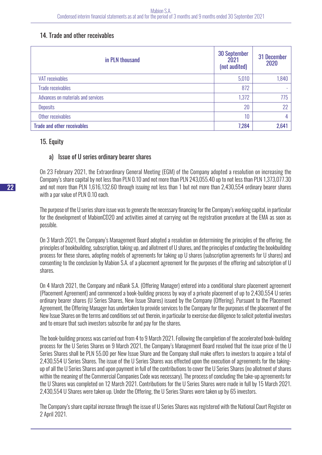## 14. Trade and other receivables

| in PLN thousand                    | <b>30 September</b><br>2021<br>(not audited) | 31 December<br>2020 |
|------------------------------------|----------------------------------------------|---------------------|
| <b>VAT receivables</b>             | 5,010                                        | 1,840               |
| <b>Trade receivables</b>           | 872                                          |                     |
| Advances on materials and services | 1,372                                        | 775                 |
| <b>Deposits</b>                    | 20                                           | 22                  |
| Other receivables                  | 10                                           | 4                   |
| <b>Trade and other receivables</b> | 7,284                                        | 2,641               |

#### 15. Equity

#### a) Issue of U series ordinary bearer shares

On 23 February 2021, the Extraordinary General Meeting (EGM) of the Company adopted a resolution on increasing the Company's share capital by not less than PLN 0.10 and not more than PLN 243,055.40 up to not less than PLN 1,373,077.30 and not more than PLN 1,616,132.60 through issuing not less than 1 but not more than 2,430,554 ordinary bearer shares with a par value of PLN 0.10 each.

The purpose of the U series share issue was to generate the necessary financing for the Company's working capital, in particular for the development of MabionCD20 and activities aimed at carrying out the registration procedure at the EMA as soon as possible.

On 3 March 2021, the Company's Management Board adopted a resolution on determining the principles of the offering, the principles of bookbuilding, subscription, taking up, and allotment of U shares, and the principles of conducting the bookbuilding process for these shares, adopting models of agreements for taking up U shares (subscription agreements for U shares) and consenting to the conclusion by Mabion S.A. of a placement agreement for the purposes of the offering and subscription of U shares.

On 4 March 2021, the Company and mBank S.A. (Offering Manager) entered into a conditional share placement agreement (Placement Agreement) and commenced a book-building process by way of a private placement of up to 2,430,554 U series ordinary bearer shares (U Series Shares, New Issue Shares) issued by the Company (Offering). Pursuant to the Placement Agreement, the Offering Manager has undertaken to provide services to the Company for the purposes of the placement of the New Issue Shares on the terms and conditions set out therein, in particular to exercise due diligence to solicit potential investors and to ensure that such investors subscribe for and pay for the shares.

The book-building process was carried out from 4 to 9 March 2021. Following the completion of the accelerated book-building process for the U Series Shares on 9 March 2021, the Company's Management Board resolved that the issue price of the U Series Shares shall be PLN 55.00 per New Issue Share and the Company shall make offers to investors to acquire a total of 2,430,554 U Series Shares. The issue of the U Series Shares was effected upon the execution of agreements for the takingup of all the U Series Shares and upon payment in full of the contributions to cover the U Series Shares (no allotment of shares within the meaning of the Commercial Companies Code was necessary). The process of concluding the take-up agreements for the U Shares was completed on 12 March 2021. Contributions for the U Series Shares were made in full by 15 March 2021. 2,430,554 U Shares were taken up. Under the Offering, the U Series Shares were taken up by 65 investors.

The Company's share capital increase through the issue of U Series Shares was registered with the National Court Register on 2 April 2021.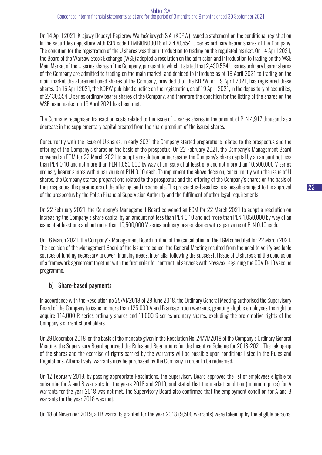On 14 April 2021, Krajowy Depozyt Papierów Wartościowych S.A. (KDPW) issued a statement on the conditional registration in the securities depository with ISIN code PLMBION00016 of 2,430,554 U series ordinary bearer shares of the Company. The condition for the registration of the U shares was their introduction to trading on the regulated market. On 14 April 2021, the Board of the Warsaw Stock Exchange (WSE) adopted a resolution on the admission and introduction to trading on the WSE Main Market of the U series shares of the Company, pursuant to which it stated that 2,430,554 U series ordinary bearer shares of the Company are admitted to trading on the main market, and decided to introduce as of 19 April 2021 to trading on the main market the aforementioned shares of the Company, provided that the KDPW, on 19 April 2021, has registered these shares. On 15 April 2021, the KDPW published a notice on the registration, as of 19 April 2021, in the depository of securities, of 2,430,554 U series ordinary bearer shares of the Company, and therefore the condition for the listing of the shares on the WSE main market on 19 April 2021 has been met.

The Company recognised transaction costs related to the issue of U series shares in the amount of PLN 4,917 thousand as a decrease in the supplementary capital created from the share premium of the issued shares.

Concurrently with the issue of U shares, in early 2021 the Company started preparations related to the prospectus and the offering of the Company's shares on the basis of the prospectus. On 22 February 2021, the Company's Management Board convened an EGM for 22 March 2021 to adopt a resolution on increasing the Company's share capital by an amount not less than PLN 0.10 and not more than PLN 1,050,000 by way of an issue of at least one and not more than 10,500,000 V series ordinary bearer shares with a par value of PLN 0.10 each. To implement the above decision, concurrently with the issue of U shares, the Company started preparations related to the prospectus and the offering of the Company's shares on the basis of the prospectus, the parameters of the offering, and its schedule. The prospectus-based issue is possible subject to the approval of the prospectus by the Polish Financial Supervision Authority and the fulfilment of other legal requirements.

On 22 February 2021, the Company's Management Board convened an EGM for 22 March 2021 to adopt a resolution on increasing the Company's share capital by an amount not less than PLN 0.10 and not more than PLN 1,050,000 by way of an issue of at least one and not more than 10,500,000 V series ordinary bearer shares with a par value of PLN 0.10 each.

On 16 March 2021, the Company's Management Board notified of the cancellation of the EGM scheduled for 22 March 2021. The decision of the Management Board of the Issuer to cancel the General Meeting resulted from the need to verify available sources of funding necessary to cover financing needs, inter alia, following the successful issue of U shares and the conclusion of a framework agreement together with the first order for contractual services with Novavax regarding the COVID-19 vaccine programme.

## b) Share-based payments

In accordance with the Resolution no 25/VI/2018 of 28 June 2018, the Ordinary General Meeting authorised the Supervisory Board of the Company to issue no more than 125 000 A and B subscription warrants, granting eligible employees the right to acquire 114,000 R series ordinary shares and 11,000 S series ordinary shares, excluding the pre-emptive rights of the Company's current shareholders.

On 29 December 2018, on the basis of the mandate given in the Resolution No. 24/VI/2018 of the Company's Ordinary General Meeting, the Supervisory Board approved the Rules and Regulations for the Incentive Scheme for 2018-2021. The taking-up of the shares and the exercise of rights carried by the warrants will be possible upon conditions listed in the Rules and Regulations. Alternatively, warrants may be purchased by the Company in order to be redeemed.

On 12 February 2019, by passing appropriate Resolutions, the Supervisory Board approved the list of employees eligible to subscribe for A and B warrants for the years 2018 and 2019, and stated that the market condition (minimum price) for A warrants for the year 2018 was not met. The Supervisory Board also confirmed that the employment condition for A and B warrants for the year 2018 was met.

On 18 of November 2019, all B warrants granted for the year 2018 (9,500 warrants) were taken up by the eligible persons.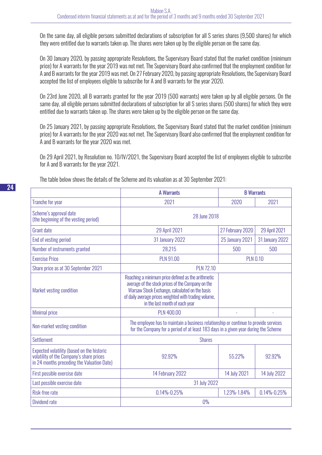On the same day, all eligible persons submitted declarations of subscription for all S series shares (9,500 shares) for which they were entitled due to warrants taken up. The shares were taken up by the eligible person on the same day.

On 30 January 2020, by passing appropriate Resolutions, the Supervisory Board stated that the market condition (minimum price) for A warrants for the year 2019 was not met. The Supervisory Board also confirmed that the employment condition for A and B warrants for the year 2019 was met. On 27 February 2020, by passing appropriate Resolutions, the Supervisory Board accepted the list of employees eligible to subscribe for A and B warrants for the year 2020.

On 23rd June 2020, all B warrants granted for the year 2019 (500 warrants) were taken up by all eligible persons. On the same day, all eligible persons submitted declarations of subscription for all S series shares (500 shares) for which they were entitled due to warrants taken up. The shares were taken up by the eligible person on the same day.

On 25 January 2021, by passing appropriate Resolutions, the Supervisory Board stated that the market condition (minimum price) for A warrants for the year 2020 was not met. The Supervisory Board also confirmed that the employment condition for A and B warrants for the year 2020 was met.

On 29 April 2021, by Resolution no. 10/IV/2021, the Supervisory Board accepted the list of employees eligible to subscribe for A and B warrants for the year 2021.

The table below shows the details of the Scheme and its valuation as at 30 September 2021:

|                                                                                                                                      | <b>A Warrants</b><br><b>B</b> Warrants                                                                                                                                                                                                               |                        |                        |  |
|--------------------------------------------------------------------------------------------------------------------------------------|------------------------------------------------------------------------------------------------------------------------------------------------------------------------------------------------------------------------------------------------------|------------------------|------------------------|--|
| <b>Tranche for year</b>                                                                                                              | 2021                                                                                                                                                                                                                                                 | 2020                   | 2021                   |  |
| Scheme's approval date<br>(the beginning of the vesting period)                                                                      | 28 June 2018                                                                                                                                                                                                                                         |                        |                        |  |
| <b>Grant date</b>                                                                                                                    | 29 April 2021                                                                                                                                                                                                                                        | 27 February 2020       | 29 April 2021          |  |
| End of vesting period                                                                                                                | <b>31 January 2022</b>                                                                                                                                                                                                                               | <b>25 January 2021</b> | <b>31 January 2022</b> |  |
| Number of instruments granted                                                                                                        | 28,215                                                                                                                                                                                                                                               | 500                    | 500                    |  |
| <b>Exercise Price</b>                                                                                                                | <b>PLN 91.00</b>                                                                                                                                                                                                                                     | <b>PLN 0.10</b>        |                        |  |
| Share price as at 30 September 2021                                                                                                  | <b>PLN 72.10</b>                                                                                                                                                                                                                                     |                        |                        |  |
| Market vesting condition                                                                                                             | Reaching a minimum price defined as the arithmetic<br>average of the stock prices of the Company on the<br>Warsaw Stock Exchange, calculated on the basis<br>of daily average prices weighted with trading volume,<br>in the last month of each year |                        |                        |  |
| <b>Minimal price</b>                                                                                                                 | <b>PLN 400.00</b>                                                                                                                                                                                                                                    |                        |                        |  |
| Non-market vesting condition                                                                                                         | The employee has to maintain a business relationship or continue to provide services<br>for the Company for a period of at least 183 days in a given year during the Scheme                                                                          |                        |                        |  |
| <b>Settlement</b>                                                                                                                    | <b>Shares</b>                                                                                                                                                                                                                                        |                        |                        |  |
| Expected volatility (based on the historic<br>volatility of the Company's share prices<br>in 24 months preceding the Valuation Date) | 92.92%<br>55.22%                                                                                                                                                                                                                                     |                        | 92.92%                 |  |
| First possible exercise date                                                                                                         | 14 February 2022                                                                                                                                                                                                                                     | 14 July 2021           | 14 July 2022           |  |
| Last possible exercise date                                                                                                          | 31 July 2022                                                                                                                                                                                                                                         |                        |                        |  |
| Risk-free rate                                                                                                                       | $0.14\% - 0.25\%$                                                                                                                                                                                                                                    | 1.23%-1.84%            | $0.14\% - 0.25\%$      |  |
| Dividend rate                                                                                                                        | 0%                                                                                                                                                                                                                                                   |                        |                        |  |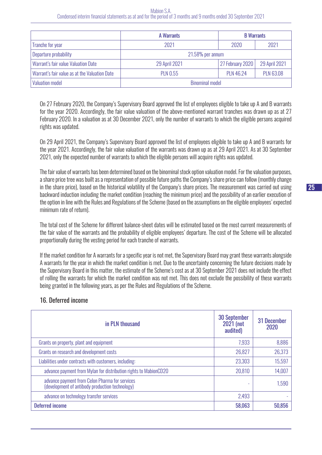|                                               | <b>B</b> Warrants<br>A Warrants |                  |                  |  |
|-----------------------------------------------|---------------------------------|------------------|------------------|--|
| Tranche for year                              | 2021<br>2020                    |                  | 2021             |  |
| Departure probability                         | 21.58% per annum                |                  |                  |  |
| Warrant's fair value Valuation Date           | 29 April 2021                   | 27 February 2020 | 29 April 2021    |  |
| Warrant's fair value as at the Valuation Date | <b>PLN 0.55</b>                 | <b>PLN 46.24</b> | <b>PLN 63.08</b> |  |
| <b>Valuation model</b>                        | <b>Binominal model</b>          |                  |                  |  |

On 27 February 2020, the Company's Supervisory Board approved the list of employees eligible to take up A and B warrants for the year 2020. Accordingly, the fair value valuation of the above-mentioned warrant tranches was drawn up as at 27 February 2020. In a valuation as at 30 December 2021, only the number of warrants to which the eligible persons acquired rights was updated.

On 29 April 2021, the Company's Supervisory Board approved the list of employees eligible to take up A and B warrants for the year 2021. Accordingly, the fair value valuation of the warrants was drawn up as at 29 April 2021. As at 30 September 2021, only the expected number of warrants to which the eligible persons will acquire rights was updated.

The fair value of warrants has been determined based on the binominal stock option valuation model. For the valuation purposes, a share price tree was built as a representation of possible future paths the Company's share price can follow (monthly change in the share price), based on the historical volatility of the Company's share prices. The measurement was carried out using backward induction including the market condition (reaching the minimum price) and the possibility of an earlier execution of the option in line with the Rules and Regulations of the Scheme (based on the assumptions on the eligible employees' expected minimum rate of return).

The total cost of the Scheme for different balance-sheet dates will be estimated based on the most current measurements of the fair value of the warrants and the probability of eligible employees' departure. The cost of the Scheme will be allocated proportionally during the vesting period for each tranche of warrants.

If the market condition for A warrants for a specific year is not met, the Supervisory Board may grant these warrants alongside A warrants for the year in which the market condition is met. Due to the uncertainty concerning the future decisions made by the Supervisory Board in this matter, the estimate of the Scheme's cost as at 30 September 2021 does not include the effect of rolling the warrants for which the market condition was not met. This does not exclude the possibility of these warrants being granted in the following years, as per the Rules and Regulations of the Scheme.

| in PLN thousand                                                                                   | <b>30 September</b><br>$2021$ (not<br>audited) | 31 December<br>2020 |
|---------------------------------------------------------------------------------------------------|------------------------------------------------|---------------------|
| Grants on property, plant and equipment                                                           | 7,933                                          | 8,886               |
| Grants on research and development costs                                                          | 26,827                                         | 26,373              |
| Liabilities under contracts with customers, including:                                            | 23,303                                         | 15,597              |
| advance payment from Mylan for distribution rights to MabionCD20                                  | 20,810                                         | 14,007              |
| advance payment from Celon Pharma for services<br>(development of antibody production technology) | ۰                                              | 1,590               |
| advance on technology transfer services                                                           | 2,493                                          |                     |
| <b>Deferred income</b>                                                                            | 58,063                                         | 50,856              |

## 16. Deferred income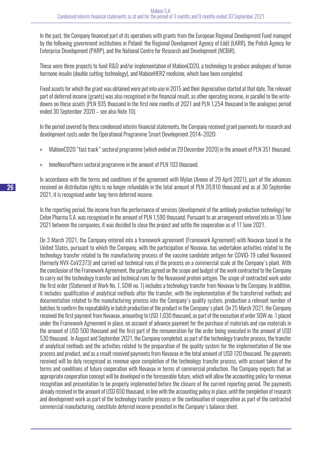In the past, the Company financed part of its operations with grants from the European Regional Development Fund managed by the following government institutions in Poland: the Regional Development Agency of Łódź (ŁARR), the Polish Agency for Enterprise Development (PARP), and the National Centre for Research and Development (NCBiR).

These were three projects to fund R&D and/or implementation of MabionCD20, a technology to produce analogues of human hormone insulin (double cutting technology), and MabionHER2 medicine, which have been completed.

Fixed assets for which the grant was obtained were put into use in 2015 and their depreciation started at that date. The relevant part of deferred income (grants) was also recognised in the financial result, as other operating income, in parallel to the writedowns on these assets (PLN 935 thousand in the first nine months of 2021 and PLN 1,254 thousand in the analogous period ended 30 September 2020 – see also Note 10).

In the period covered by these condensed interim financial statements, the Company received grant payments for research and development costs under the Operational Programme Smart Development 2014–2020:

- » MabionCD20 "fast track" sectoral programme (which ended on 29 December 2020) in the amount of PLN 351 thousand.
- » InnoNeuroPharm sectoral programme in the amount of PLN 103 thousand.

In accordance with the terms and conditions of the agreement with Mylan (Annex of 29 April 2021), part of the advances received on distribution rights is no longer refundable in the total amount of PLN 20,810 thousand and as at 30 September 2021, it is recognised under long-term deferred income.

In the reporting period, the income from the performance of services (development of the antibody production technology) for Celon Pharma S.A. was recognised in the amount of PLN 1,590 thousand. Pursuant to an arrangement entered into on 10 June 2021 between the companies, it was decided to close the project and settle the cooperation as of 17 June 2021.

On 3 March 2021, the Company entered into a framework agreement (Framework Agreement) with Novavax based in the United States, pursuant to which the Company, with the participation of Novavax, has undertaken activities related to the technology transfer related to the manufacturing process of the vaccine candidate antigen for COVID-19 called Nuvaxovid (formerly NVX-CoV2373) and carried out technical runs of the process on a commercial scale at the Company's plant. With the conclusion of the Framework Agreement, the parties agreed on the scope and budget of the work contracted to the Company to carry out the technology transfer and technical runs for the Nuvaxovid protein antigen. The scope of contracted work under the first order (Statement of Work No. 1, SOW no. 1) includes a technology transfer from Novavax to the Company. In addition, it includes: qualification of analytical methods after the transfer, with the implementation of the transferred methods and documentation related to the manufacturing process into the Company's quality system, production a relevant number of batches to confirm the repeatability in batch production of the product in the Company's plant. On 25 March 2021, the Company received the first payment from Novavax, amounting to USD 1,030 thousand, as part of the execution of order SOW no. 1 placed under the Framework Agreement in place, on account of advance payment for the purchase of materials and raw materials in the amount of USD 500 thousand and the first part of the remuneration for the order being executed in the amount of USD 530 thousand. In August and September 2021, the Company completed, as part of the technology transfer process, the transfer of analytical methods and the activities related to the preparation of the quality system for the implementation of the new process and product, and as a result received payments from Novavax in the total amount of USD 120 thousand. The payments received will be duly recognised as revenue upon completion of the technology transfer process, with account taken of the terms and conditions of future cooperation with Novavax in terms of commercial production. The Company expects that an appropriate cooperation concept will be developed in the foreseeable future, which will allow the accounting policy for revenue recognition and presentation to be properly implemented before the closure of the current reporting period. The payments already received in the amount of USD 650 thousand, in line with the accounting policy in place, until the completion of research and development work as part of the technology transfer process or the continuation of cooperation as part of the contracted commercial manufacturing, constitute deferred income presented in the Company's balance sheet.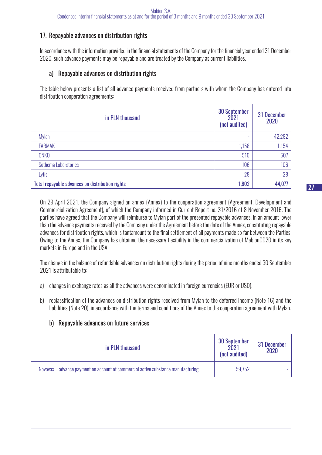## 17. Repayable advances on distribution rights

In accordance with the information provided in the financial statements of the Company for the financial year ended 31 December 2020, such advance payments may be repayable and are treated by the Company as current liabilities.

## a) Repayable advances on distribution rights

The table below presents a list of all advance payments received from partners with whom the Company has entered into distribution cooperation agreements:

| in PLN thousand                                 | <b>30 September</b><br>2021<br>(not audited) | 31 December<br>2020 |
|-------------------------------------------------|----------------------------------------------|---------------------|
| Mylan                                           | ٠                                            | 42,282              |
| <b>FARMAK</b>                                   | 1,158                                        | 1,154               |
| <b>ONKO</b>                                     | 510                                          | 507                 |
| Sothema Laboratories                            | 106                                          | 106                 |
| Lyfis                                           | 28                                           | 28                  |
| Total repayable advances on distribution rights | 1,802                                        | 44,077              |

On 29 April 2021, the Company signed an annex (Annex) to the cooperation agreement (Agreement, Development and Commercialization Agreement), of which the Company informed in Current Report no. 31/2016 of 8 November 2016. The parties have agreed that the Company will reimburse to Mylan part of the presented repayable advances, in an amount lower than the advance payments received by the Company under the Agreement before the date of the Annex, constituting repayable advances for distribution rights, which is tantamount to the final settlement of all payments made so far between the Parties. Owing to the Annex, the Company has obtained the necessary flexibility in the commercialization of MabionCD20 in its key markets in Europe and in the USA.

The change in the balance of refundable advances on distribution rights during the period of nine months ended 30 September 2021 is attributable to:

- a) changes in exchange rates as all the advances were denominated in foreign currencies (EUR or USD).
- b) reclassification of the advances on distribution rights received from Mylan to the deferred income (Note 16) and the liabilities (Note 20), in accordance with the terms and conditions of the Annex to the cooperation agreement with Mylan.

## b) Repayable advances on future services

| in PLN thousand                                                                   | <b>30 September</b><br>2021<br>(not audited) | 31 December<br>2020 |
|-----------------------------------------------------------------------------------|----------------------------------------------|---------------------|
| Novavax – advance payment on account of commercial active substance manufacturing | 59.752                                       |                     |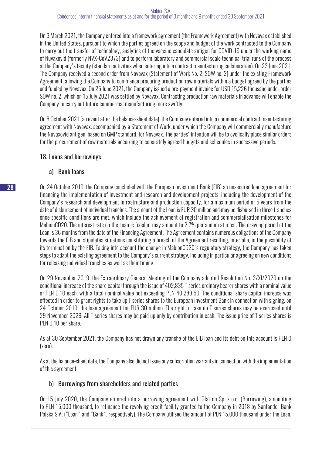On 3 March 2021, the Company entered into a framework agreement (the Framework Agreement) with Novavax established in the United States, pursuant to which the parties agreed on the scope and budget of the work contracted to the Company to carry out the transfer of technology, analytics of the vaccine candidate antigen for COVID-19 under the working name of Nuvaxovid (formerly NVX-CoV2373) and to perform laboratory and commercial scale technical trial runs of the process at the Company's facility (standard activities when entering into a contract manufacturing collaboration). On 23 June 2021, The Company received a second order from Novavax (Statement of Work No. 2, SOW no. 2) under the existing Framework Agreement, allowing the Company to commence procuring production raw materials within a budget agreed by the parties and funded by Novavax. On 25 June 2021, the Company issued a pre-payment invoice for USD 15,226 thousand under order SOW no. 2, which on 15 July 2021 was settled by Novavax. Contracting production raw materials in advance will enable the Company to carry out future commercial manufacturing more swiftly.

On 8 October 2021 (an event after the balance-sheet date), the Company entered into a commercial contract manufacturing agreement with Novavax, accompanied by a Statement of Work, under which the Company will commercially manufacture the Nuvaxovid antigen, based on GMP standard, for Novavax. The parties' intention will be to cyclically place similar orders for the procurement of raw materials according to separately agreed budgets and schedules in successive periods.

#### 18. Loans and borrowings

#### a) Bank loans

On 24 October 2019, the Company concluded with the European Investment Bank (EIB) an unsecured loan agreement for financing the implementation of investment and research and development projects, including the development of the Company's research and development infrastructure and production capacity, for a maximum period of 5 years from the date of disbursement of individual tranches. The amount of the Loan is EUR 30 million and may be disbursed in three tranches once specific conditions are met, which include the achievement of registration and commercialisation milestones for MabionCD20. The interest rate on the Loan is fixed at may amount to 2.7% per annum at most. The drawing period of the Loan is 36 months from the date of the Financing Agreement. The Agreement contains numerous obligations of the Company towards the EIB and stipulates situations constituting a breach of the Agreement resulting, inter alia, in the possibility of its termination by the EIB. Taking into account the change in MabionCD20's regulatory strategy, the Company has taken steps to adapt the existing agreement to the Company's current strategy, including in particular agreeing on new conditions for releasing individual tranches as well as their timing.

On 29 November 2019, the Extraordinary General Meeting of the Company adopted Resolution No. 3/XI/2020 on the conditional increase of the share capital through the issue of 402,835 T series ordinary bearer shares with a nominal value of PLN 0.10 each, with a total nominal value not exceeding PLN 40,283.50. The conditional share capital increase was effected in order to grant rights to take up T series shares to the European Investment Bank in connection with signing, on 24 October 2019, the loan agreement for EUR 30 million. The right to take up T series shares may be exercised until 29 November 2029. All T series shares may be paid up only by contribution in cash. The issue price of T series shares is PLN 0.10 per share.

As at 30 September 2021, the Company has not drawn any tranche of the EIB loan and its debt on this account is PLN 0 (zero).

As at the balance-sheet date, the Company also did not issue any subscription warrants in connection with the implementation of this agreement.

## b) Borrowings from shareholders and related parties

On 15 July 2020, the Company entered into a borrowing agreement with Glatton Sp. z o.o. (Borrowing), amounting to PLN 15,000 thousand, to refinance the revolving credit facility granted to the Company in 2018 by Santander Bank Polska S.A. ("Loan" and "Bank", respectively). The Company utilised the amount of PLN 15,000 thousand under the Loan.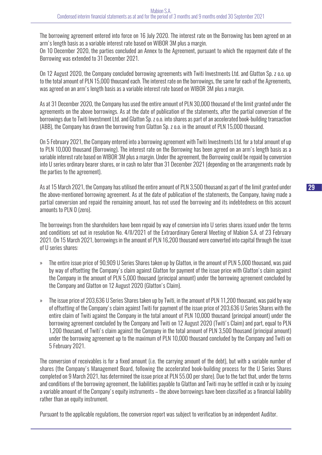The borrowing agreement entered into force on 16 July 2020. The interest rate on the Borrowing has been agreed on an arm's length basis as a variable interest rate based on WIBOR 3M plus a margin.

On 10 December 2020, the parties concluded an Annex to the Agreement, pursuant to which the repayment date of the Borrowing was extended to 31 December 2021.

On 12 August 2020, the Company concluded borrowing agreements with Twiti Investments Ltd. and Glatton Sp. z o.o. up to the total amount of PLN 15,000 thousand each. The interest rate on the borrowings, the same for each of the Agreements, was agreed on an arm's length basis as a variable interest rate based on WIBOR 3M plus a margin.

As at 31 December 2020, the Company has used the entire amount of PLN 30,000 thousand of the limit granted under the agreements on the above borrowings. As at the date of publication of the statements, after the partial conversion of the borrowings due to Twiti Investment Ltd. and Glatton Sp. z o.o. into shares as part of an accelerated book-building transaction (ABB), the Company has drawn the borrowing from Glatton Sp. z o.o. in the amount of PLN 15,000 thousand.

On 5 February 2021, the Company entered into a borrowing agreement with Twiti Investments Ltd. for a total amount of up to PLN 10,000 thousand (Borrowing). The interest rate on the Borrowing has been agreed on an arm's length basis as a variable interest rate based on WIBOR 3M plus a margin. Under the agreement, the Borrowing could be repaid by conversion into U series ordinary bearer shares, or in cash no later than 31 December 2021 (depending on the arrangements made by the parties to the agreement).

As at 15 March 2021, the Company has utilised the entire amount of PLN 3,500 thousand as part of the limit granted under the above-mentioned borrowing agreement. As at the date of publication of the statements, the Company, having made a partial conversion and repaid the remaining amount, has not used the borrowing and its indebtedness on this account amounts to PLN 0 (zero).

The borrowings from the shareholders have been repaid by way of conversion into U series shares issued under the terms and conditions set out in resolution No. 4/II/2021 of the Extraordinary General Meeting of Mabion S.A. of 23 February 2021. On 15 March 2021, borrowings in the amount of PLN 16,200 thousand were converted into capital through the issue of U series shares:

- » The entire issue price of 90,909 U Series Shares taken up by Glatton, in the amount of PLN 5,000 thousand, was paid by way of offsetting the Company's claim against Glatton for payment of the issue price with Glatton's claim against the Company in the amount of PLN 5,000 thousand (principal amount) under the borrowing agreement concluded by the Company and Glatton on 12 August 2020 (Glatton's Claim).
- » The issue price of 203,636 U Series Shares taken up by Twiti, in the amount of PLN 11,200 thousand, was paid by way of offsetting of the Company's claim against Twiti for payment of the issue price of 203,636 U Series Shares with the entire claim of Twiti against the Company in the total amount of PLN 10,000 thousand (principal amount) under the borrowing agreement concluded by the Company and Twiti on 12 August 2020 (Twiti's Claim) and part, equal to PLN 1,200 thousand, of Twiti's claim against the Company in the total amount of PLN 3,500 thousand (principal amount) under the borrowing agreement up to the maximum of PLN 10,000 thousand concluded by the Company and Twiti on 5 February 2021.

The conversion of receivables is for a fixed amount (i.e. the carrying amount of the debt), but with a variable number of shares (the Company's Management Board, following the accelerated book-building process for the U Series Shares completed on 9 March 2021, has determined the issue price at PLN 55.00 per share). Due to the fact that, under the terms and conditions of the borrowing agreement, the liabilities payable to Glatton and Twiti may be settled in cash or by issuing a variable amount of the Company's equity instruments – the above borrowings have been classified as a financial liability rather than an equity instrument.

Pursuant to the applicable regulations, the conversion report was subject to verification by an independent Auditor.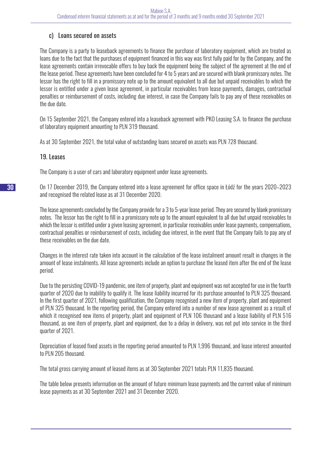## c) Loans secured on assets

The Company is a party to leaseback agreements to finance the purchase of laboratory equipment, which are treated as loans due to the fact that the purchases of equipment financed in this way was first fully paid for by the Company, and the lease agreements contain irrevocable offers to buy back the equipment being the subject of the agreement at the end of the lease period. These agreements have been concluded for 4 to 5 years and are secured with blank promissory notes. The lessor has the right to fill in a promissory note up to the amount equivalent to all due but unpaid receivables to which the lessor is entitled under a given lease agreement, in particular receivables from lease payments, damages, contractual penalties or reimbursement of costs, including due interest, in case the Company fails to pay any of these receivables on the due date.

On 15 September 2021, the Company entered into a leaseback agreement with PKO Leasing S.A. to finance the purchase of laboratory equipment amounting to PLN 319 thousand.

As at 30 September 2021, the total value of outstanding loans secured on assets was PLN 728 thousand.

## 19. Leases

The Company is a user of cars and laboratory equipment under lease agreements.

On 17 December 2019, the Company entered into a lease agreement for office space in Łódź for the years 2020–2023 and recognised the related lease as at 31 December 2020.

The lease agreements concluded by the Company provide for a 3 to 5-year lease period. They are secured by blank promissory notes. The lessor has the right to fill in a promissory note up to the amount equivalent to all due but unpaid receivables to which the lessor is entitled under a given leasing agreement, in particular receivables under lease payments, compensations, contractual penalties or reimbursement of costs, including due interest, in the event that the Company fails to pay any of these receivables on the due date.

Changes in the interest rate taken into account in the calculation of the lease instalment amount result in changes in the amount of lease instalments. All lease agreements include an option to purchase the leased item after the end of the lease period.

Due to the persisting COVID-19 pandemic, one item of property, plant and equipment was not accepted for use in the fourth quarter of 2020 due to inability to qualify it. The lease liability incurred for its purchase amounted to PLN 325 thousand. In the first quarter of 2021, following qualification, the Company recognised a new item of property, plant and equipment of PLN 325 thousand. In the reporting period, the Company entered into a number of new lease agreement as a result of which it recognised new items of property, plant and equipment of PLN 106 thousand and a lease liability of PLN 516 thousand, as one item of property, plant and equipment, due to a delay in delivery, was not put into service in the third quarter of 2021.

Depreciation of leased fixed assets in the reporting period amounted to PLN 1,996 thousand, and lease interest amounted to PLN 205 thousand.

The total gross carrying amount of leased items as at 30 September 2021 totals PLN 11,835 thousand.

The table below presents information on the amount of future minimum lease payments and the current value of minimum lease payments as at 30 September 2021 and 31 December 2020.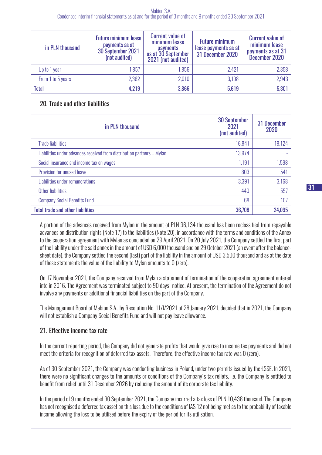| in PLN thousand   | <b>Future minimum lease</b><br>payments as at<br>30 September 2021<br>(not audited) | <b>Current value of</b><br>minimum lease<br><b>payments</b><br>as at 30 September<br>2021 (not audited) | <b>Future minimum</b><br>lease payments as at<br>31 December 2020 | <b>Current value of</b><br>minimum lease<br>payments as at 31<br>December 2020 |
|-------------------|-------------------------------------------------------------------------------------|---------------------------------------------------------------------------------------------------------|-------------------------------------------------------------------|--------------------------------------------------------------------------------|
| Up to 1 year      | 1,857                                                                               | 1,856                                                                                                   | 2,421                                                             | 2,358                                                                          |
| From 1 to 5 years | 2,362                                                                               | 2,010                                                                                                   | 3,198                                                             | 2,943                                                                          |
| <b>Total</b>      | 4,219                                                                               | 3,866                                                                                                   | 5,619                                                             | 5,301                                                                          |

## 20. Trade and other liabilities

| in PLN thousand                                                        | <b>30 September</b><br>2021<br>(not audited) | 31 December<br>2020 |
|------------------------------------------------------------------------|----------------------------------------------|---------------------|
| <b>Trade liabilities</b>                                               | 16,841                                       | 18,124              |
| Liabilities under advances received from distribution partners - Mylan | 13,974                                       |                     |
| Social insurance and income tax on wages                               | 1,191                                        | 1,598               |
| Provision for unused leave                                             | 803                                          | 541                 |
| Liabilities under remunerations                                        | 3,391                                        | 3,168               |
| Other liabilities                                                      | 440                                          | 557                 |
| <b>Company Social Benefits Fund</b>                                    | 68                                           | 107                 |
| <b>Total trade and other liabilities</b>                               | 36,708                                       | 24,095              |

A portion of the advances received from Mylan in the amount of PLN 36,134 thousand has been reclassified from repayable advances on distribution rights (Note 17) to the liabilities (Note 20), in accordance with the terms and conditions of the Annex to the cooperation agreement with Mylan as concluded on 29 April 2021. On 20 July 2021, the Company settled the first part of the liability under the said annex in the amount of USD 6,000 thousand and on 29 October 2021 (an event after the balancesheet date), the Company settled the second (last) part of the liability in the amount of USD 3,500 thousand and as at the date of these statements the value of the liability to Mylan amounts to 0 (zero).

On 17 November 2021, the Company received from Mylan a statement of termination of the cooperation agreement entered into in 2016. The Agreement was terminated subject to 90 days' notice. At present, the termination of the Agreement do not involve any payments or additional financial liabilities on the part of the Company.

The Management Board of Mabion S.A., by Resolution No. 11/I/2021 of 28 January 2021, decided that in 2021, the Company will not establish a Company Social Benefits Fund and will not pay leave allowance.

## 21. Effective income tax rate

In the current reporting period, the Company did not generate profits that would give rise to income tax payments and did not meet the criteria for recognition of deferred tax assets. Therefore, the effective income tax rate was 0 (zero).

As of 30 September 2021, the Company was conducting business in Poland, under two permits issued by the ŁSSE. In 2021, there were no significant changes to the amounts or conditions of the Company's tax reliefs, i.e. the Company is entitled to benefit from relief until 31 December 2026 by reducing the amount of its corporate tax liability.

In the period of 9 months ended 30 September 2021, the Company incurred a tax loss of PLN 10,438 thousand. The Company has not recognised a deferred tax asset on this loss due to the conditions of IAS 12 not being met as to the probability of taxable income allowing the loss to be utilised before the expiry of the period for its utilisation.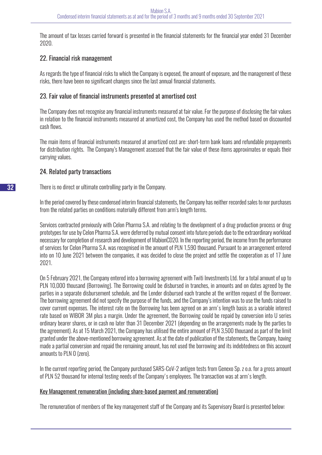The amount of tax losses carried forward is presented in the financial statements for the financial year ended 31 December 2020.

## 22. Financial risk management

As regards the type of financial risks to which the Company is exposed, the amount of exposure, and the management of these risks, there have been no significant changes since the last annual financial statements.

## 23. Fair value of financial instruments presented at amortised cost

The Company does not recognise any financial instruments measured at fair value. For the purpose of disclosing the fair values in relation to the financial instruments measured at amortized cost, the Company has used the method based on discounted cash flows.

The main items of financial instruments measured at amortized cost are: short-term bank loans and refundable prepayments for distribution rights. The Company's Management assessed that the fair value of these items approximates or equals their carrying values.

## 24. Related party transactions

There is no direct or ultimate controlling party in the Company.

In the period covered by these condensed interim financial statements, the Company has neither recorded sales to nor purchases from the related parties on conditions materially different from arm's length terms.

Services contracted previously with Celon Pharma S.A. and relating to the development of a drug production process or drug prototypes for use by Celon Pharma S.A. were deferred by mutual consent into future periods due to the extraordinary workload necessary for completion of research and development of MabionCD20. In the reporting period, the income from the performance of services for Celon Pharma S.A. was recognised in the amount of PLN 1,590 thousand. Pursuant to an arrangement entered into on 10 June 2021 between the companies, it was decided to close the project and settle the cooperation as of 17 June 2021.

On 5 February 2021, the Company entered into a borrowing agreement with Twiti Investments Ltd. for a total amount of up to PLN 10,000 thousand (Borrowing). The Borrowing could be disbursed in tranches, in amounts and on dates agreed by the parties in a separate disbursement schedule, and the Lender disbursed each tranche at the written request of the Borrower. The borrowing agreement did not specify the purpose of the funds, and the Company's intention was to use the funds raised to cover current expenses. The interest rate on the Borrowing has been agreed on an arm's length basis as a variable interest rate based on WIBOR 3M plus a margin. Under the agreement, the Borrowing could be repaid by conversion into U series ordinary bearer shares, or in cash no later than 31 December 2021 (depending on the arrangements made by the parties to the agreement). As at 15 March 2021, the Company has utilised the entire amount of PLN 3,500 thousand as part of the limit granted under the above-mentioned borrowing agreement. As at the date of publication of the statements, the Company, having made a partial conversion and repaid the remaining amount, has not used the borrowing and its indebtedness on this account amounts to PLN 0 (zero).

In the current reporting period, the Company purchased SARS-CoV-2 antigen tests from Genexo Sp. z o.o. for a gross amount of PLN 52 thousand for internal testing needs of the Company's employees. The transaction was at arm's length.

## Key Management remuneration (including share-based payment and remuneration)

The remuneration of members of the key management staff of the Company and its Supervisory Board is presented below: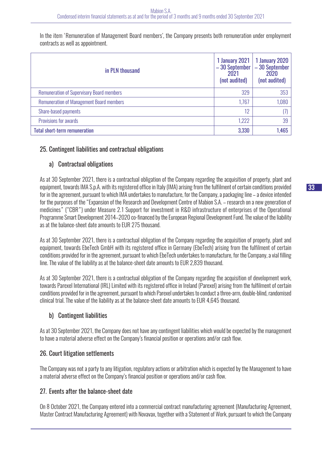In the item 'Remuneration of Management Board members', the Company presents both remuneration under employment contracts as well as appointment.

| in PLN thousand                                  | 1 January 2021<br>-30 September<br>2021<br>(not audited) | 1 January 2020<br>$-30$ September<br>2020<br>(not audited) |
|--------------------------------------------------|----------------------------------------------------------|------------------------------------------------------------|
| <b>Remuneration of Supervisory Board members</b> | 329                                                      | 353                                                        |
| <b>Remuneration of Management Board members</b>  | 1,767                                                    | 1,080                                                      |
| Share-based payments                             | 12                                                       |                                                            |
| Provisions for awards                            | 1,222                                                    | 39                                                         |
| <b>Total short-term remuneration</b>             | 3,330                                                    | 1,465                                                      |

## 25. Contingent liabilities and contractual obligations

## a) Contractual obligations

As at 30 September 2021, there is a contractual obligation of the Company regarding the acquisition of property, plant and equipment, towards IMA S.p.A. with its registered office in Italy (IMA) arising from the fulfilment of certain conditions provided for in the agreement, pursuant to which IMA undertakes to manufacture, for the Company, a packaging line – a device intended for the purposes of the "Expansion of the Research and Development Centre of Mabion S.A. – research on a new generation of medicines" ("CBR") under Measure 2.1 Support for investment in R&D infrastructure of enterprises of the Operational Programme Smart Development 2014–2020 co-financed by the European Regional Development Fund. The value of the liability as at the balance-sheet date amounts to EUR 275 thousand.

As at 30 September 2021, there is a contractual obligation of the Company regarding the acquisition of property, plant and equipment, towards EbeTech GmbH with its registered office in Germany (EbeTech) arising from the fulfilment of certain conditions provided for in the agreement, pursuant to which EbeTech undertakes to manufacture, for the Company, a vial filling line. The value of the liability as at the balance-sheet date amounts to EUR 2,839 thousand.

As at 30 September 2021, there is a contractual obligation of the Company regarding the acquisition of development work, towards Parexel International (IRL) Limited with its registered office in Ireland (Parexel) arising from the fulfilment of certain conditions provided for in the agreement, pursuant to which Parexel undertakes to conduct a three-arm, double-blind, randomised clinical trial. The value of the liability as at the balance-sheet date amounts to EUR 4,645 thousand.

## b) Contingent liabilities

As at 30 September 2021, the Company does not have any contingent liabilities which would be expected by the management to have a material adverse effect on the Company's financial position or operations and/or cash flow.

## 26. Court litigation settlements

The Company was not a party to any litigation, regulatory actions or arbitration which is expected by the Management to have a material adverse effect on the Company's financial position or operations and/or cash flow.

## 27. Events after the balance-sheet date

On 8 October 2021, the Company entered into a commercial contract manufacturing agreement (Manufacturing Agreement, Master Contract Manufacturing Agreement) with Novavax, together with a Statement of Work, pursuant to which the Company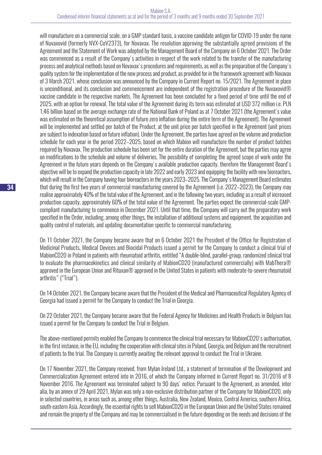will manufacture on a commercial scale, on a GMP standard basis, a vaccine candidate antigen for COVID-19 under the name of Nuvaxovid (formerly NVX-CoV2373), for Novavax. The resolution approving the substantially agreed provisions of the Agreement and the Statement of Work was adopted by the Management Board of the Company on 6 October 2021. The Order was commenced as a result of the Company's activities in respect of the work related to the transfer of the manufacturing process and analytical methods based on Novavax's procedures and requirements, as well as the preparation of the Company's quality system for the implementation of the new process and product, as provided for in the framework agreement with Novavax of 3 March 2021, whose conclusion was announced by the Company in Current Report no. 15/2021. The Agreement in place is unconditional, and its conclusion and commencement are independent of the registration procedure of the Nuvaxovid $\circledR$ vaccine candidate in the respective markets. The Agreement has been concluded for a fixed period of time until the end of 2025, with an option for renewal. The total value of the Agreement during its term was estimated at USD 372 million i.e. PLN 1.46 billion based on the average exchange rate of the National Bank of Poland as at 7 October 2021 (the Agreement's value was estimated on the theoretical assumption of future zero inflation during the entire term of the Agreement). The Agreement will be implemented and settled per batch of the Product, at the unit price per batch specified in the Agreement (unit prices are subject to indexation based on future inflation). Under the Agreement, the parties have agreed on the volume and production schedule for each year in the period 2022–2025, based on which Mabion will manufacture the number of product batches required by Novavax. The production schedule has been set for the entire duration of the Agreement, but the parties may agree on modifications to the schedule and volume of deliveries. The possibility of completing the agreed scope of work under the Agreement in the future years depends on the Company's available production capacity, therefore the Management Board's objective will be to expand the production capacity in late 2022 and early 2023 and equipping the facility with new bioreactors, which will result in the Company having four bioreactors in the years 2023–2025. The Company's Management Board estimates that during the first two years of commercial manufacturing covered by the Agreement (i.e. 2022–2023), the Company may realise approximately 40% of the total value of the Agreement, and in the following two years, including as a result of increased production capacity, approximately 60% of the total value of the Agreement. The parties expect the commercial-scale GMPcompliant manufacturing to commence in December 2021. Until that time, the Company will carry out the preparatory work specified in the Order, including, among other things, the installation of additional systems and equipment, the acquisition and quality control of materials, and updating documentation specific to commercial manufacturing.

On 11 October 2021, the Company became aware that on 6 October 2021 the President of the Office for Registration of Medicinal Products, Medical Devices and Biocidal Products issued a permit for the Company to conduct a clinical trial of MabionCD20 in Poland in patients with rheumatoid arthritis, entitled "A double-blind, parallel-group, randomized clinical trial to evaluate the pharmacokinetics and clinical similarity of MabionCD20 (manufactured commercially) with MabThera® approved in the European Union and Rituxan® approved in the United States in patients with moderate-to-severe rheumatoid arthritis" ("Trial").

On 14 October 2021, the Company became aware that the President of the Medical and Pharmaceutical Regulatory Agency of Georgia had issued a permit for the Company to conduct the Trial in Georgia.

On 22 October 2021, the Company became aware that the Federal Agency for Medicines and Health Products in Belgium has issued a permit for the Company to conduct the Trial in Belgium.

The above-mentioned permits enabled the Company to commence the clinical trial necessary for MabionCD20's authorisation, in the first instance, in the EU, including the cooperation with clinical sites in Poland, Georgia, and Belgium and the recruitment of patients to the trial. The Company is currently awaiting the relevant approval to conduct the Trial in Ukraine.

On 17 November 2021, the Company received, from Mylan Ireland Ltd., a statement of termination of the Development and Commercialization Agreement entered into in 2016, of which the Company informed in Current Report no. 31/2016 of 8 November 2016. The Agreement was terminated subject to 90 days' notice. Pursuant to the Agreement, as amended, inter alia, by an annex of 29 April 2021, Mylan was only a non-exclusive distribution partner of the Company for MabionCD20, only in selected countries, in areas such as, among other things, Australia, New Zealand, Mexico, Central America, southern Africa, south-eastern Asia. Accordingly, the essential rights to sell MabionCD20 in the European Union and the United States remained and remain the property of the Company and may be commercialised in the future depending on the needs and decisions of the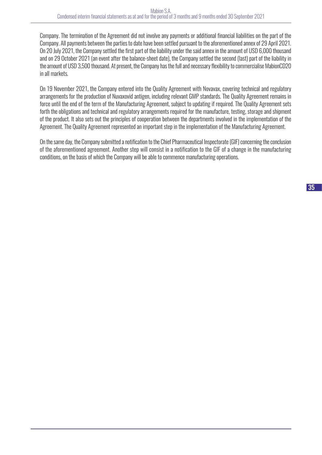Company. The termination of the Agreement did not involve any payments or additional financial liabilities on the part of the Company. All payments between the parties to date have been settled pursuant to the aforementioned annex of 29 April 2021. On 20 July 2021, the Company settled the first part of the liability under the said annex in the amount of USD 6,000 thousand and on 29 October 2021 (an event after the balance-sheet date), the Company settled the second (last) part of the liability in the amount of USD 3,500 thousand. At present, the Company has the full and necessary flexibility to commercialise MabionCD20 in all markets.

On 19 November 2021, the Company entered into the Quality Agreement with Novavax, covering technical and regulatory arrangements for the production of Nuvaxovid antigen, including relevant GMP standards. The Quality Agreement remains in force until the end of the term of the Manufacturing Agreement, subject to updating if required. The Quality Agreement sets forth the obligations and technical and regulatory arrangements required for the manufacture, testing, storage and shipment of the product. It also sets out the principles of cooperation between the departments involved in the implementation of the Agreement. The Quality Agreement represented an important step in the implementation of the Manufacturing Agreement.

On the same day, the Company submitted a notification to the Chief Pharmaceutical Inspectorate (GIF) concerning the conclusion of the aforementioned agreement. Another step will consist in a notification to the GIF of a change in the manufacturing conditions, on the basis of which the Company will be able to commence manufacturing operations.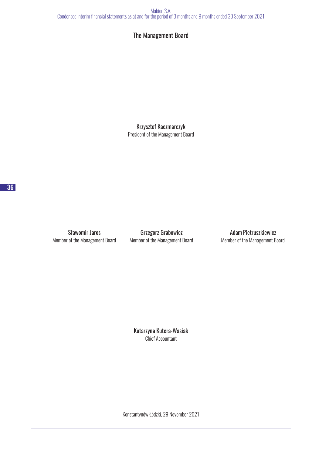## The Management Board

Krzysztof Kaczmarczyk President of the Management Board

Member of the Management Board Member of the Management Board Member of the Management Board

Sławomir Jaros **Grzegorz Grabowicz Grammatical Adam Pietruszkiewicz** 

Katarzyna Kutera-Wasiak Chief Accountant

Konstantynów Łódzki, 29 November 2021